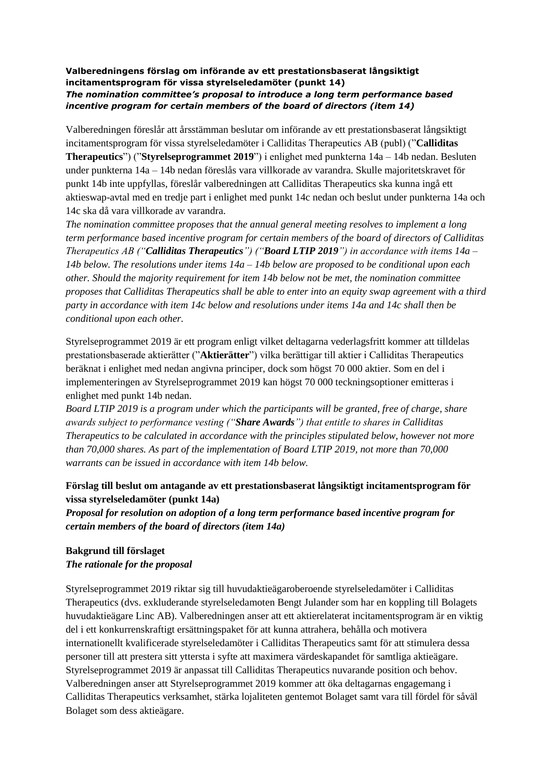#### **Valberedningens förslag om införande av ett prestationsbaserat långsiktigt incitamentsprogram för vissa styrelseledamöter (punkt 14)** *The nomination committee's proposal to introduce a long term performance based incentive program for certain members of the board of directors (item 14)*

Valberedningen föreslår att årsstämman beslutar om införande av ett prestationsbaserat långsiktigt incitamentsprogram för vissa styrelseledamöter i Calliditas Therapeutics AB (publ) ("**Calliditas Therapeutics**") ("**Styrelseprogrammet 2019**") i enlighet med punkterna 14a – 14b nedan. Besluten under punkterna 14a – 14b nedan föreslås vara villkorade av varandra. Skulle majoritetskravet för punkt 14b inte uppfyllas, föreslår valberedningen att Calliditas Therapeutics ska kunna ingå ett aktieswap-avtal med en tredje part i enlighet med punkt 14c nedan och beslut under punkterna 14a och 14c ska då vara villkorade av varandra.

*The nomination committee proposes that the annual general meeting resolves to implement a long term performance based incentive program for certain members of the board of directors of Calliditas Therapeutics AB ("Calliditas Therapeutics") ("Board LTIP 2019") in accordance with items 14a – 14b below. The resolutions under items 14a – 14b below are proposed to be conditional upon each other. Should the majority requirement for item 14b below not be met, the nomination committee proposes that Calliditas Therapeutics shall be able to enter into an equity swap agreement with a third party in accordance with item 14c below and resolutions under items 14a and 14c shall then be conditional upon each other.*

Styrelseprogrammet 2019 är ett program enligt vilket deltagarna vederlagsfritt kommer att tilldelas prestationsbaserade aktierätter ("**Aktierätter**") vilka berättigar till aktier i Calliditas Therapeutics beräknat i enlighet med nedan angivna principer, dock som högst 70 000 aktier. Som en del i implementeringen av Styrelseprogrammet 2019 kan högst 70 000 teckningsoptioner emitteras i enlighet med punkt 14b nedan.

*Board LTIP 2019 is a program under which the participants will be granted, free of charge, share awards subject to performance vesting ("Share Awards") that entitle to shares in Calliditas Therapeutics to be calculated in accordance with the principles stipulated below, however not more than 70,000 shares. As part of the implementation of Board LTIP 2019, not more than 70,000 warrants can be issued in accordance with item 14b below.*

### **Förslag till beslut om antagande av ett prestationsbaserat långsiktigt incitamentsprogram för vissa styrelseledamöter (punkt 14a)**

*Proposal for resolution on adoption of a long term performance based incentive program for certain members of the board of directors (item 14a)*

#### **Bakgrund till förslaget** *The rationale for the proposal*

Styrelseprogrammet 2019 riktar sig till huvudaktieägaroberoende styrelseledamöter i Calliditas Therapeutics (dvs. exkluderande styrelseledamoten Bengt Julander som har en koppling till Bolagets huvudaktieägare Linc AB). Valberedningen anser att ett aktierelaterat incitamentsprogram är en viktig del i ett konkurrenskraftigt ersättningspaket för att kunna attrahera, behålla och motivera internationellt kvalificerade styrelseledamöter i Calliditas Therapeutics samt för att stimulera dessa personer till att prestera sitt yttersta i syfte att maximera värdeskapandet för samtliga aktieägare. Styrelseprogrammet 2019 är anpassat till Calliditas Therapeutics nuvarande position och behov. Valberedningen anser att Styrelseprogrammet 2019 kommer att öka deltagarnas engagemang i Calliditas Therapeutics verksamhet, stärka lojaliteten gentemot Bolaget samt vara till fördel för såväl Bolaget som dess aktieägare.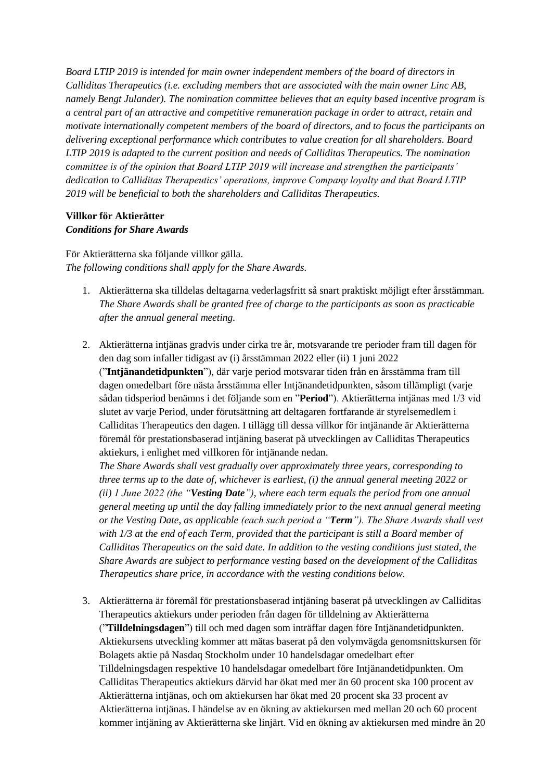*Board LTIP 2019 is intended for main owner independent members of the board of directors in Calliditas Therapeutics (i.e. excluding members that are associated with the main owner Linc AB, namely Bengt Julander). The nomination committee believes that an equity based incentive program is a central part of an attractive and competitive remuneration package in order to attract, retain and motivate internationally competent members of the board of directors, and to focus the participants on delivering exceptional performance which contributes to value creation for all shareholders. Board LTIP 2019 is adapted to the current position and needs of Calliditas Therapeutics. The nomination committee is of the opinion that Board LTIP 2019 will increase and strengthen the participants' dedication to Calliditas Therapeutics' operations, improve Company loyalty and that Board LTIP 2019 will be beneficial to both the shareholders and Calliditas Therapeutics.*

#### **Villkor för Aktierätter** *Conditions for Share Awards*

För Aktierätterna ska följande villkor gälla. *The following conditions shall apply for the Share Awards.*

- 1. Aktierätterna ska tilldelas deltagarna vederlagsfritt så snart praktiskt möjligt efter årsstämman. *The Share Awards shall be granted free of charge to the participants as soon as practicable after the annual general meeting.*
- 2. Aktierätterna intjänas gradvis under cirka tre år, motsvarande tre perioder fram till dagen för den dag som infaller tidigast av (i) årsstämman 2022 eller (ii) 1 juni 2022 ("**Intjänandetidpunkten**"), där varje period motsvarar tiden från en årsstämma fram till dagen omedelbart före nästa årsstämma eller Intjänandetidpunkten, såsom tillämpligt (varje sådan tidsperiod benämns i det följande som en "**Period**"). Aktierätterna intjänas med 1/3 vid slutet av varje Period, under förutsättning att deltagaren fortfarande är styrelsemedlem i Calliditas Therapeutics den dagen. I tillägg till dessa villkor för intjänande är Aktierätterna föremål för prestationsbaserad intjäning baserat på utvecklingen av Calliditas Therapeutics aktiekurs, i enlighet med villkoren för intjänande nedan.

*The Share Awards shall vest gradually over approximately three years, corresponding to three terms up to the date of, whichever is earliest, (i) the annual general meeting 2022 or (ii) 1 June 2022 (the "Vesting Date"), where each term equals the period from one annual general meeting up until the day falling immediately prior to the next annual general meeting or the Vesting Date, as applicable (each such period a "Term"). The Share Awards shall vest with 1/3 at the end of each Term, provided that the participant is still a Board member of Calliditas Therapeutics on the said date. In addition to the vesting conditions just stated, the Share Awards are subject to performance vesting based on the development of the Calliditas Therapeutics share price, in accordance with the vesting conditions below.*

3. Aktierätterna är föremål för prestationsbaserad intjäning baserat på utvecklingen av Calliditas Therapeutics aktiekurs under perioden från dagen för tilldelning av Aktierätterna ("**Tilldelningsdagen**") till och med dagen som inträffar dagen före Intjänandetidpunkten. Aktiekursens utveckling kommer att mätas baserat på den volymvägda genomsnittskursen för Bolagets aktie på Nasdaq Stockholm under 10 handelsdagar omedelbart efter Tilldelningsdagen respektive 10 handelsdagar omedelbart före Intjänandetidpunkten. Om Calliditas Therapeutics aktiekurs därvid har ökat med mer än 60 procent ska 100 procent av Aktierätterna intjänas, och om aktiekursen har ökat med 20 procent ska 33 procent av Aktierätterna intjänas. I händelse av en ökning av aktiekursen med mellan 20 och 60 procent kommer intjäning av Aktierätterna ske linjärt. Vid en ökning av aktiekursen med mindre än 20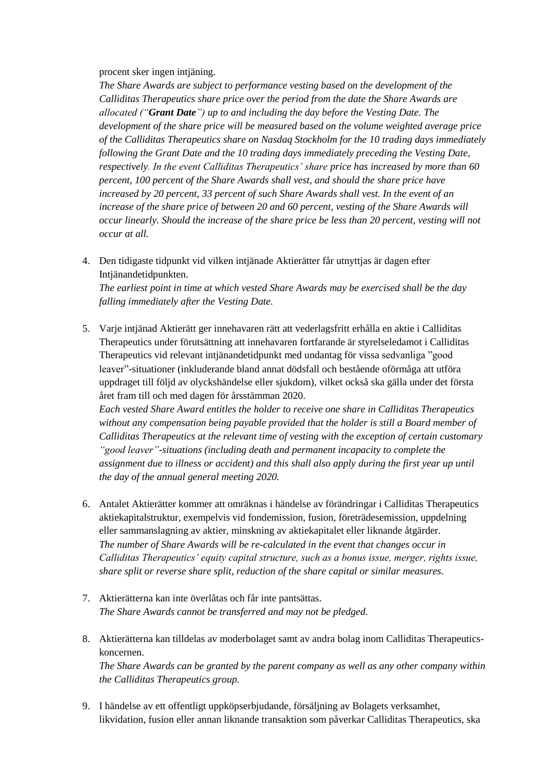#### procent sker ingen intjäning.

*The Share Awards are subject to performance vesting based on the development of the Calliditas Therapeutics share price over the period from the date the Share Awards are allocated ("Grant Date") up to and including the day before the Vesting Date. The development of the share price will be measured based on the volume weighted average price of the Calliditas Therapeutics share on Nasdaq Stockholm for the 10 trading days immediately following the Grant Date and the 10 trading days immediately preceding the Vesting Date, respectively. In the event Calliditas Therapeutics' share price has increased by more than 60 percent, 100 percent of the Share Awards shall vest, and should the share price have increased by 20 percent, 33 percent of such Share Awards shall vest. In the event of an increase of the share price of between 20 and 60 percent, vesting of the Share Awards will occur linearly. Should the increase of the share price be less than 20 percent, vesting will not occur at all.*

4. Den tidigaste tidpunkt vid vilken intjänade Aktierätter får utnyttjas är dagen efter Intjänandetidpunkten.

*The earliest point in time at which vested Share Awards may be exercised shall be the day falling immediately after the Vesting Date.*

5. Varje intjänad Aktierätt ger innehavaren rätt att vederlagsfritt erhålla en aktie i Calliditas Therapeutics under förutsättning att innehavaren fortfarande är styrelseledamot i Calliditas Therapeutics vid relevant intjänandetidpunkt med undantag för vissa sedvanliga "good leaver"-situationer (inkluderande bland annat dödsfall och bestående oförmåga att utföra uppdraget till följd av olyckshändelse eller sjukdom), vilket också ska gälla under det första året fram till och med dagen för årsstämman 2020.

*Each vested Share Award entitles the holder to receive one share in Calliditas Therapeutics without any compensation being payable provided that the holder is still a Board member of Calliditas Therapeutics at the relevant time of vesting with the exception of certain customary "good leaver"-situations (including death and permanent incapacity to complete the assignment due to illness or accident) and this shall also apply during the first year up until the day of the annual general meeting 2020.*

- 6. Antalet Aktierätter kommer att omräknas i händelse av förändringar i Calliditas Therapeutics aktiekapitalstruktur, exempelvis vid fondemission, fusion, företrädesemission, uppdelning eller sammanslagning av aktier, minskning av aktiekapitalet eller liknande åtgärder. *The number of Share Awards will be re-calculated in the event that changes occur in Calliditas Therapeutics' equity capital structure, such as a bonus issue, merger, rights issue, share split or reverse share split, reduction of the share capital or similar measures.*
- 7. Aktierätterna kan inte överlåtas och får inte pantsättas. *The Share Awards cannot be transferred and may not be pledged.*
- 8. Aktierätterna kan tilldelas av moderbolaget samt av andra bolag inom Calliditas Therapeuticskoncernen.

*The Share Awards can be granted by the parent company as well as any other company within the Calliditas Therapeutics group.*

9. I händelse av ett offentligt uppköpserbjudande, försäljning av Bolagets verksamhet, likvidation, fusion eller annan liknande transaktion som påverkar Calliditas Therapeutics, ska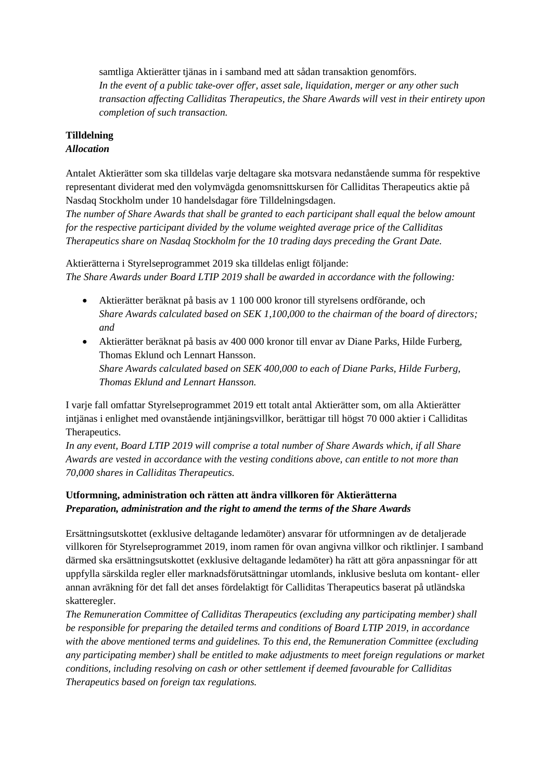samtliga Aktierätter tjänas in i samband med att sådan transaktion genomförs. *In the event of a public take-over offer, asset sale, liquidation, merger or any other such transaction affecting Calliditas Therapeutics, the Share Awards will vest in their entirety upon completion of such transaction.*

## **Tilldelning**

### *Allocation*

Antalet Aktierätter som ska tilldelas varje deltagare ska motsvara nedanstående summa för respektive representant dividerat med den volymvägda genomsnittskursen för Calliditas Therapeutics aktie på Nasdaq Stockholm under 10 handelsdagar före Tilldelningsdagen.

*The number of Share Awards that shall be granted to each participant shall equal the below amount for the respective participant divided by the volume weighted average price of the Calliditas Therapeutics share on Nasdaq Stockholm for the 10 trading days preceding the Grant Date.*

Aktierätterna i Styrelseprogrammet 2019 ska tilldelas enligt följande: *The Share Awards under Board LTIP 2019 shall be awarded in accordance with the following:*

- Aktierätter beräknat på basis av 1 100 000 kronor till styrelsens ordförande, och *Share Awards calculated based on SEK 1,100,000 to the chairman of the board of directors; and*
- Aktierätter beräknat på basis av 400 000 kronor till envar av Diane Parks, Hilde Furberg, Thomas Eklund och Lennart Hansson. *Share Awards calculated based on SEK 400,000 to each of Diane Parks, Hilde Furberg, Thomas Eklund and Lennart Hansson.*

I varje fall omfattar Styrelseprogrammet 2019 ett totalt antal Aktierätter som, om alla Aktierätter intjänas i enlighet med ovanstående intjäningsvillkor, berättigar till högst 70 000 aktier i Calliditas Therapeutics.

*In any event, Board LTIP 2019 will comprise a total number of Share Awards which, if all Share Awards are vested in accordance with the vesting conditions above, can entitle to not more than 70,000 shares in Calliditas Therapeutics.*

## **Utformning, administration och rätten att ändra villkoren för Aktierätterna** *Preparation, administration and the right to amend the terms of the Share Awards*

Ersättningsutskottet (exklusive deltagande ledamöter) ansvarar för utformningen av de detaljerade villkoren för Styrelseprogrammet 2019, inom ramen för ovan angivna villkor och riktlinjer. I samband därmed ska ersättningsutskottet (exklusive deltagande ledamöter) ha rätt att göra anpassningar för att uppfylla särskilda regler eller marknadsförutsättningar utomlands, inklusive besluta om kontant- eller annan avräkning för det fall det anses fördelaktigt för Calliditas Therapeutics baserat på utländska skatteregler.

*The Remuneration Committee of Calliditas Therapeutics (excluding any participating member) shall be responsible for preparing the detailed terms and conditions of Board LTIP 2019, in accordance with the above mentioned terms and guidelines. To this end, the Remuneration Committee (excluding any participating member) shall be entitled to make adjustments to meet foreign regulations or market conditions, including resolving on cash or other settlement if deemed favourable for Calliditas Therapeutics based on foreign tax regulations.*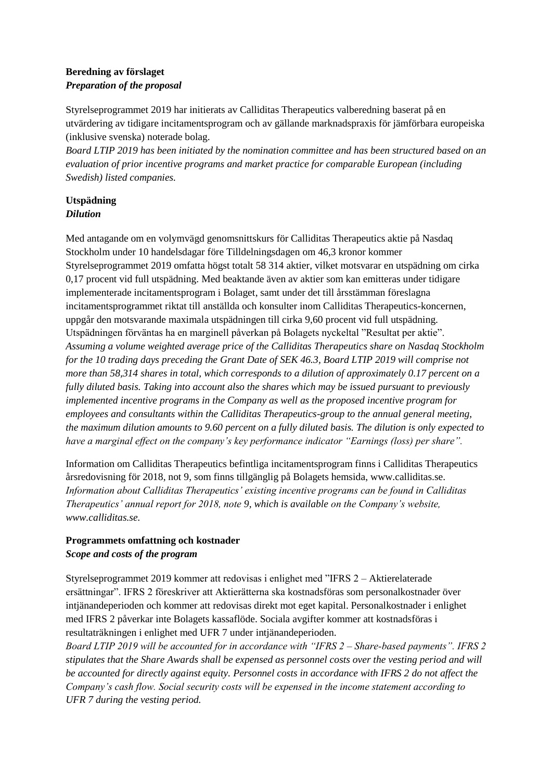### **Beredning av förslaget** *Preparation of the proposal*

Styrelseprogrammet 2019 har initierats av Calliditas Therapeutics valberedning baserat på en utvärdering av tidigare incitamentsprogram och av gällande marknadspraxis för jämförbara europeiska (inklusive svenska) noterade bolag.

*Board LTIP 2019 has been initiated by the nomination committee and has been structured based on an evaluation of prior incentive programs and market practice for comparable European (including Swedish) listed companies.*

### **Utspädning** *Dilution*

Med antagande om en volymvägd genomsnittskurs för Calliditas Therapeutics aktie på Nasdaq Stockholm under 10 handelsdagar före Tilldelningsdagen om 46,3 kronor kommer Styrelseprogrammet 2019 omfatta högst totalt 58 314 aktier, vilket motsvarar en utspädning om cirka 0,17 procent vid full utspädning. Med beaktande även av aktier som kan emitteras under tidigare implementerade incitamentsprogram i Bolaget, samt under det till årsstämman föreslagna incitamentsprogrammet riktat till anställda och konsulter inom Calliditas Therapeutics-koncernen, uppgår den motsvarande maximala utspädningen till cirka 9,60 procent vid full utspädning. Utspädningen förväntas ha en marginell påverkan på Bolagets nyckeltal "Resultat per aktie". *Assuming a volume weighted average price of the Calliditas Therapeutics share on Nasdaq Stockholm for the 10 trading days preceding the Grant Date of SEK 46.3, Board LTIP 2019 will comprise not more than 58,314 shares in total, which corresponds to a dilution of approximately 0.17 percent on a fully diluted basis. Taking into account also the shares which may be issued pursuant to previously implemented incentive programs in the Company as well as the proposed incentive program for employees and consultants within the Calliditas Therapeutics-group to the annual general meeting, the maximum dilution amounts to 9.60 percent on a fully diluted basis. The dilution is only expected to have a marginal effect on the company's key performance indicator "Earnings (loss) per share".*

Information om Calliditas Therapeutics befintliga incitamentsprogram finns i Calliditas Therapeutics årsredovisning för 2018, not 9, som finns tillgänglig på Bolagets hemsida, www.calliditas.se. *Information about Calliditas Therapeutics' existing incentive programs can be found in Calliditas Therapeutics' annual report for 2018, note 9, which is available on the Company's website, www.calliditas.se.*

## **Programmets omfattning och kostnader** *Scope and costs of the program*

Styrelseprogrammet 2019 kommer att redovisas i enlighet med "IFRS 2 – Aktierelaterade ersättningar". IFRS 2 föreskriver att Aktierätterna ska kostnadsföras som personalkostnader över intjänandeperioden och kommer att redovisas direkt mot eget kapital. Personalkostnader i enlighet med IFRS 2 påverkar inte Bolagets kassaflöde. Sociala avgifter kommer att kostnadsföras i resultaträkningen i enlighet med UFR 7 under intjänandeperioden.

*Board LTIP 2019 will be accounted for in accordance with "IFRS 2 – Share‐based payments". IFRS 2 stipulates that the Share Awards shall be expensed as personnel costs over the vesting period and will be accounted for directly against equity. Personnel costs in accordance with IFRS 2 do not affect the Company's cash flow. Social security costs will be expensed in the income statement according to UFR 7 during the vesting period.*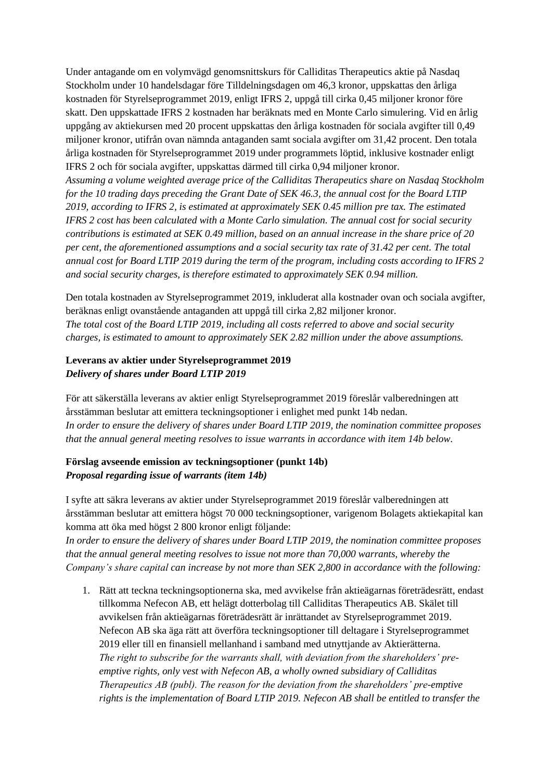Under antagande om en volymvägd genomsnittskurs för Calliditas Therapeutics aktie på Nasdaq Stockholm under 10 handelsdagar före Tilldelningsdagen om 46,3 kronor, uppskattas den årliga kostnaden för Styrelseprogrammet 2019, enligt IFRS 2, uppgå till cirka 0,45 miljoner kronor före skatt. Den uppskattade IFRS 2 kostnaden har beräknats med en Monte Carlo simulering. Vid en årlig uppgång av aktiekursen med 20 procent uppskattas den årliga kostnaden för sociala avgifter till 0,49 miljoner kronor, utifrån ovan nämnda antaganden samt sociala avgifter om 31,42 procent. Den totala årliga kostnaden för Styrelseprogrammet 2019 under programmets löptid, inklusive kostnader enligt IFRS 2 och för sociala avgifter, uppskattas därmed till cirka 0,94 miljoner kronor.

*Assuming a volume weighted average price of the Calliditas Therapeutics share on Nasdaq Stockholm for the 10 trading days preceding the Grant Date of SEK 46.3, the annual cost for the Board LTIP 2019, according to IFRS 2, is estimated at approximately SEK 0.45 million pre tax. The estimated IFRS 2 cost has been calculated with a Monte Carlo simulation. The annual cost for social security contributions is estimated at SEK 0.49 million, based on an annual increase in the share price of 20 per cent, the aforementioned assumptions and a social security tax rate of 31.42 per cent. The total annual cost for Board LTIP 2019 during the term of the program, including costs according to IFRS 2 and social security charges, is therefore estimated to approximately SEK 0.94 million.*

Den totala kostnaden av Styrelseprogrammet 2019, inkluderat alla kostnader ovan och sociala avgifter, beräknas enligt ovanstående antaganden att uppgå till cirka 2,82 miljoner kronor. *The total cost of the Board LTIP 2019, including all costs referred to above and social security charges, is estimated to amount to approximately SEK 2.82 million under the above assumptions.*

### **Leverans av aktier under Styrelseprogrammet 2019** *Delivery of shares under Board LTIP 2019*

För att säkerställa leverans av aktier enligt Styrelseprogrammet 2019 föreslår valberedningen att årsstämman beslutar att emittera teckningsoptioner i enlighet med punkt 14b nedan. *In order to ensure the delivery of shares under Board LTIP 2019, the nomination committee proposes that the annual general meeting resolves to issue warrants in accordance with item 14b below.*

### **Förslag avseende emission av teckningsoptioner (punkt 14b)** *Proposal regarding issue of warrants (item 14b)*

I syfte att säkra leverans av aktier under Styrelseprogrammet 2019 föreslår valberedningen att årsstämman beslutar att emittera högst 70 000 teckningsoptioner, varigenom Bolagets aktiekapital kan komma att öka med högst 2 800 kronor enligt följande:

*In order to ensure the delivery of shares under Board LTIP 2019, the nomination committee proposes that the annual general meeting resolves to issue not more than 70,000 warrants, whereby the Company's share capital can increase by not more than SEK 2,800 in accordance with the following:*

1. Rätt att teckna teckningsoptionerna ska, med avvikelse från aktieägarnas företrädesrätt, endast tillkomma Nefecon AB, ett helägt dotterbolag till Calliditas Therapeutics AB. Skälet till avvikelsen från aktieägarnas företrädesrätt är inrättandet av Styrelseprogrammet 2019. Nefecon AB ska äga rätt att överföra teckningsoptioner till deltagare i Styrelseprogrammet 2019 eller till en finansiell mellanhand i samband med utnyttjande av Aktierätterna. *The right to subscribe for the warrants shall, with deviation from the shareholders' preemptive rights, only vest with Nefecon AB, a wholly owned subsidiary of Calliditas Therapeutics AB (publ). The reason for the deviation from the shareholders' pre-emptive rights is the implementation of Board LTIP 2019. Nefecon AB shall be entitled to transfer the*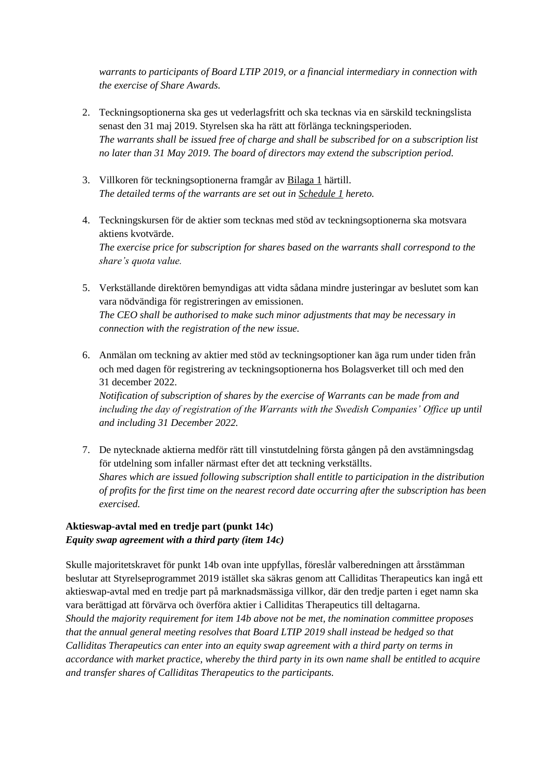*warrants to participants of Board LTIP 2019, or a financial intermediary in connection with the exercise of Share Awards.*

- 2. Teckningsoptionerna ska ges ut vederlagsfritt och ska tecknas via en särskild teckningslista senast den 31 maj 2019. Styrelsen ska ha rätt att förlänga teckningsperioden. *The warrants shall be issued free of charge and shall be subscribed for on a subscription list no later than 31 May 2019. The board of directors may extend the subscription period.*
- 3. Villkoren för teckningsoptionerna framgår av Bilaga 1 härtill. *The detailed terms of the warrants are set out in Schedule 1 hereto.*
- 4. Teckningskursen för de aktier som tecknas med stöd av teckningsoptionerna ska motsvara aktiens kvotvärde. *The exercise price for subscription for shares based on the warrants shall correspond to the share's quota value.*
- 5. Verkställande direktören bemyndigas att vidta sådana mindre justeringar av beslutet som kan vara nödvändiga för registreringen av emissionen. *The CEO shall be authorised to make such minor adjustments that may be necessary in connection with the registration of the new issue.*
- 6. Anmälan om teckning av aktier med stöd av teckningsoptioner kan äga rum under tiden från och med dagen för registrering av teckningsoptionerna hos Bolagsverket till och med den 31 december 2022.

*Notification of subscription of shares by the exercise of Warrants can be made from and including the day of registration of the Warrants with the Swedish Companies' Office up until and including 31 December 2022.*

7. De nytecknade aktierna medför rätt till vinstutdelning första gången på den avstämningsdag för utdelning som infaller närmast efter det att teckning verkställts. *Shares which are issued following subscription shall entitle to participation in the distribution of profits for the first time on the nearest record date occurring after the subscription has been exercised.*

## **Aktieswap-avtal med en tredje part (punkt 14c)** *Equity swap agreement with a third party (item 14c)*

Skulle majoritetskravet för punkt 14b ovan inte uppfyllas, föreslår valberedningen att årsstämman beslutar att Styrelseprogrammet 2019 istället ska säkras genom att Calliditas Therapeutics kan ingå ett aktieswap-avtal med en tredje part på marknadsmässiga villkor, där den tredje parten i eget namn ska vara berättigad att förvärva och överföra aktier i Calliditas Therapeutics till deltagarna.

*Should the majority requirement for item 14b above not be met, the nomination committee proposes that the annual general meeting resolves that Board LTIP 2019 shall instead be hedged so that Calliditas Therapeutics can enter into an equity swap agreement with a third party on terms in accordance with market practice, whereby the third party in its own name shall be entitled to acquire and transfer shares of Calliditas Therapeutics to the participants.*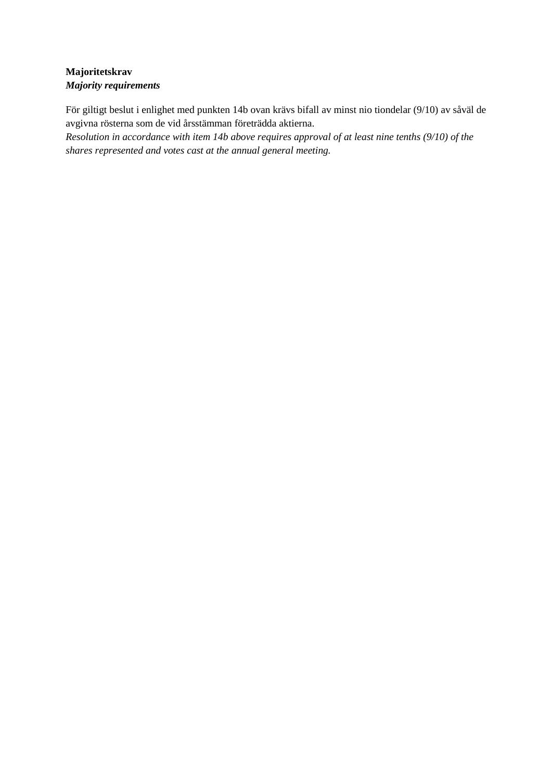## **Majoritetskrav** *Majority requirements*

För giltigt beslut i enlighet med punkten 14b ovan krävs bifall av minst nio tiondelar (9/10) av såväl de avgivna rösterna som de vid årsstämman företrädda aktierna.

*Resolution in accordance with item 14b above requires approval of at least nine tenths (9/10) of the shares represented and votes cast at the annual general meeting.*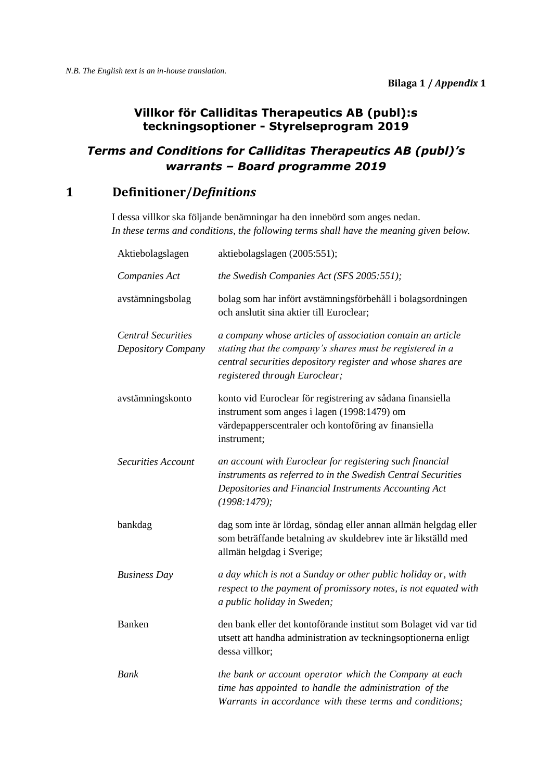## **Villkor för Calliditas Therapeutics AB (publ):s teckningsoptioner - Styrelseprogram 2019**

## *Terms and Conditions for Calliditas Therapeutics AB (publ)'s warrants – Board programme 2019*

## **1 Definitioner/***Definitions*

I dessa villkor ska följande benämningar ha den innebörd som anges nedan. *In these terms and conditions, the following terms shall have the meaning given below.*

| Aktiebolagslagen                                | aktiebolagslagen (2005:551);                                                                                                                                                                                            |
|-------------------------------------------------|-------------------------------------------------------------------------------------------------------------------------------------------------------------------------------------------------------------------------|
| Companies Act                                   | the Swedish Companies Act (SFS 2005:551);                                                                                                                                                                               |
| avstämningsbolag                                | bolag som har infört avstämningsförbehåll i bolagsordningen<br>och anslutit sina aktier till Euroclear;                                                                                                                 |
| <b>Central Securities</b><br>Depository Company | a company whose articles of association contain an article<br>stating that the company's shares must be registered in a<br>central securities depository register and whose shares are<br>registered through Euroclear; |
| avstämningskonto                                | konto vid Euroclear för registrering av sådana finansiella<br>instrument som anges i lagen (1998:1479) om<br>värdepapperscentraler och kontoföring av finansiella<br>instrument;                                        |
| <b>Securities Account</b>                       | an account with Euroclear for registering such financial<br>instruments as referred to in the Swedish Central Securities<br>Depositories and Financial Instruments Accounting Act<br>(1998:1479);                       |
| bankdag                                         | dag som inte är lördag, söndag eller annan allmän helgdag eller<br>som beträffande betalning av skuldebrev inte är likställd med<br>allmän helgdag i Sverige;                                                           |
| <b>Business Day</b>                             | a day which is not a Sunday or other public holiday or, with<br>respect to the payment of promissory notes, is not equated with<br>a public holiday in Sweden;                                                          |
| <b>Banken</b>                                   | den bank eller det kontoförande institut som Bolaget vid var tid<br>utsett att handha administration av teckningsoptionerna enligt<br>dessa villkor;                                                                    |
| <b>Bank</b>                                     | the bank or account operator which the Company at each<br>time has appointed to handle the administration of the<br>Warrants in accordance with these terms and conditions;                                             |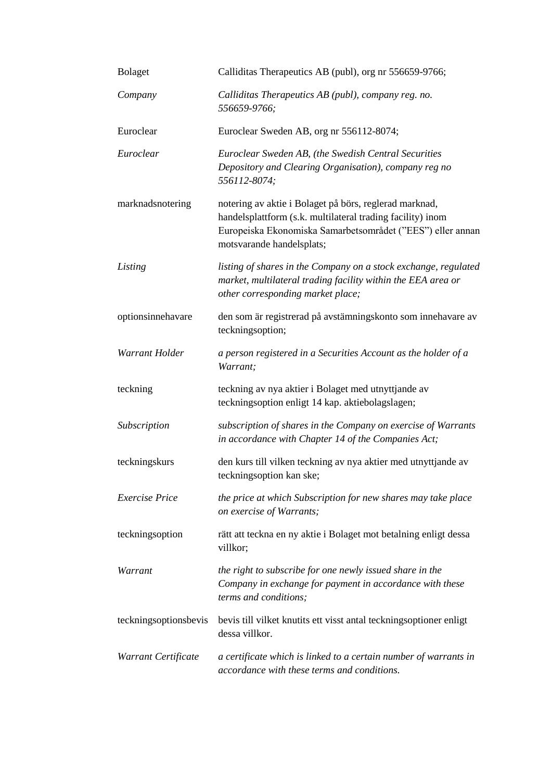| Bolaget               | Calliditas Therapeutics AB (publ), org nr 556659-9766;                                                                                                                                                          |
|-----------------------|-----------------------------------------------------------------------------------------------------------------------------------------------------------------------------------------------------------------|
| Company               | Calliditas Therapeutics AB (publ), company reg. no.<br>556659-9766;                                                                                                                                             |
| Euroclear             | Euroclear Sweden AB, org nr 556112-8074;                                                                                                                                                                        |
| Euroclear             | Euroclear Sweden AB, (the Swedish Central Securities<br>Depository and Clearing Organisation), company reg no<br>556112-8074;                                                                                   |
| marknadsnotering      | notering av aktie i Bolaget på börs, reglerad marknad,<br>handelsplattform (s.k. multilateral trading facility) inom<br>Europeiska Ekonomiska Samarbetsområdet ("EES") eller annan<br>motsvarande handelsplats; |
| Listing               | listing of shares in the Company on a stock exchange, regulated<br>market, multilateral trading facility within the EEA area or<br>other corresponding market place;                                            |
| optionsinnehavare     | den som är registrerad på avstämningskonto som innehavare av<br>teckningsoption;                                                                                                                                |
| Warrant Holder        | a person registered in a Securities Account as the holder of a<br>Warrant;                                                                                                                                      |
| teckning              | teckning av nya aktier i Bolaget med utnyttjande av<br>teckningsoption enligt 14 kap. aktiebolagslagen;                                                                                                         |
| <b>Subscription</b>   | subscription of shares in the Company on exercise of Warrants<br>in accordance with Chapter 14 of the Companies Act;                                                                                            |
| teckningskurs         | den kurs till vilken teckning av nya aktier med utnyttjande av<br>teckningsoption kan ske;                                                                                                                      |
| Exercise Price        | the price at which Subscription for new shares may take place<br>on exercise of Warrants;                                                                                                                       |
| teckningsoption       | rätt att teckna en ny aktie i Bolaget mot betalning enligt dessa<br>villkor;                                                                                                                                    |
| Warrant               | the right to subscribe for one newly issued share in the<br>Company in exchange for payment in accordance with these<br>terms and conditions;                                                                   |
| teckningsoptionsbevis | bevis till vilket knutits ett visst antal teckningsoptioner enligt<br>dessa villkor.                                                                                                                            |
| Warrant Certificate   | a certificate which is linked to a certain number of warrants in<br>accordance with these terms and conditions.                                                                                                 |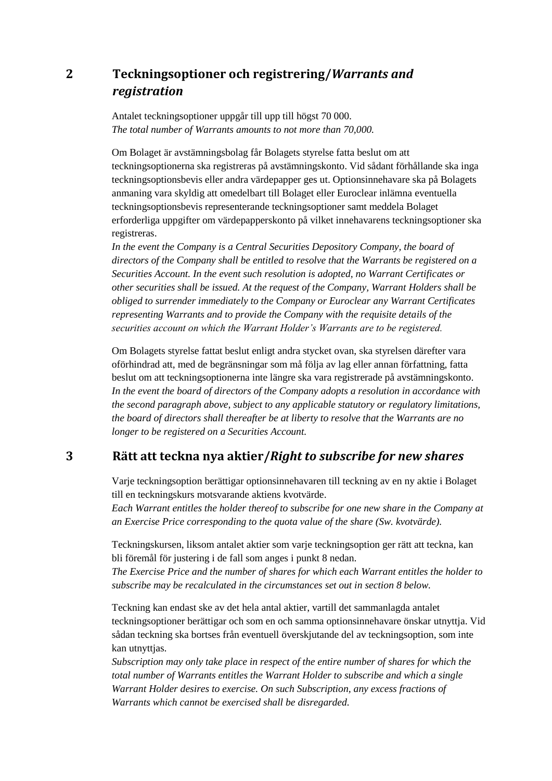# **2 Teckningsoptioner och registrering/***Warrants and registration*

Antalet teckningsoptioner uppgår till upp till högst 70 000. *The total number of Warrants amounts to not more than 70,000.*

Om Bolaget är avstämningsbolag får Bolagets styrelse fatta beslut om att teckningsoptionerna ska registreras på avstämningskonto. Vid sådant förhållande ska inga teckningsoptionsbevis eller andra värdepapper ges ut. Optionsinnehavare ska på Bolagets anmaning vara skyldig att omedelbart till Bolaget eller Euroclear inlämna eventuella teckningsoptionsbevis representerande teckningsoptioner samt meddela Bolaget erforderliga uppgifter om värdepapperskonto på vilket innehavarens teckningsoptioner ska registreras.

*In the event the Company is a Central Securities Depository Company, the board of directors of the Company shall be entitled to resolve that the Warrants be registered on a Securities Account. In the event such resolution is adopted, no Warrant Certificates or other securities shall be issued. At the request of the Company, Warrant Holders shall be obliged to surrender immediately to the Company or Euroclear any Warrant Certificates representing Warrants and to provide the Company with the requisite details of the securities account on which the Warrant Holder's Warrants are to be registered.* 

Om Bolagets styrelse fattat beslut enligt andra stycket ovan, ska styrelsen därefter vara oförhindrad att, med de begränsningar som må följa av lag eller annan författning, fatta beslut om att teckningsoptionerna inte längre ska vara registrerade på avstämningskonto. *In the event the board of directors of the Company adopts a resolution in accordance with the second paragraph above, subject to any applicable statutory or regulatory limitations, the board of directors shall thereafter be at liberty to resolve that the Warrants are no longer to be registered on a Securities Account.*

## **3 Rätt att teckna nya aktier/***Right to subscribe for new shares*

Varje teckningsoption berättigar optionsinnehavaren till teckning av en ny aktie i Bolaget till en teckningskurs motsvarande aktiens kvotvärde.

*Each Warrant entitles the holder thereof to subscribe for one new share in the Company at an Exercise Price corresponding to the quota value of the share (Sw. kvotvärde).*

Teckningskursen, liksom antalet aktier som varje teckningsoption ger rätt att teckna, kan bli föremål för justering i de fall som anges i punkt 8 nedan.

*The Exercise Price and the number of shares for which each Warrant entitles the holder to subscribe may be recalculated in the circumstances set out in section 8 below.*

Teckning kan endast ske av det hela antal aktier, vartill det sammanlagda antalet teckningsoptioner berättigar och som en och samma optionsinnehavare önskar utnyttja. Vid sådan teckning ska bortses från eventuell överskjutande del av teckningsoption, som inte kan utnyttjas.

*Subscription may only take place in respect of the entire number of shares for which the total number of Warrants entitles the Warrant Holder to subscribe and which a single Warrant Holder desires to exercise. On such Subscription, any excess fractions of Warrants which cannot be exercised shall be disregarded.*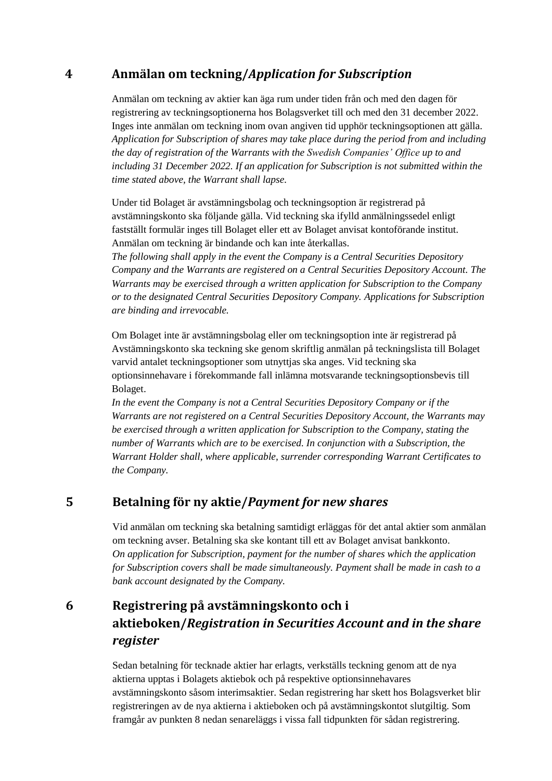## **4 Anmälan om teckning/***Application for Subscription*

Anmälan om teckning av aktier kan äga rum under tiden från och med den dagen för registrering av teckningsoptionerna hos Bolagsverket till och med den 31 december 2022. Inges inte anmälan om teckning inom ovan angiven tid upphör teckningsoptionen att gälla. *Application for Subscription of shares may take place during the period from and including the day of registration of the Warrants with the Swedish Companies' Office up to and including 31 December 2022. If an application for Subscription is not submitted within the time stated above, the Warrant shall lapse.*

Under tid Bolaget är avstämningsbolag och teckningsoption är registrerad på avstämningskonto ska följande gälla. Vid teckning ska ifylld anmälningssedel enligt fastställt formulär inges till Bolaget eller ett av Bolaget anvisat kontoförande institut. Anmälan om teckning är bindande och kan inte återkallas.

*The following shall apply in the event the Company is a Central Securities Depository Company and the Warrants are registered on a Central Securities Depository Account. The Warrants may be exercised through a written application for Subscription to the Company or to the designated Central Securities Depository Company. Applications for Subscription are binding and irrevocable.* 

Om Bolaget inte är avstämningsbolag eller om teckningsoption inte är registrerad på Avstämningskonto ska teckning ske genom skriftlig anmälan på teckningslista till Bolaget varvid antalet teckningsoptioner som utnyttjas ska anges. Vid teckning ska optionsinnehavare i förekommande fall inlämna motsvarande teckningsoptionsbevis till Bolaget.

*In the event the Company is not a Central Securities Depository Company or if the Warrants are not registered on a Central Securities Depository Account, the Warrants may be exercised through a written application for Subscription to the Company, stating the number of Warrants which are to be exercised. In conjunction with a Subscription, the Warrant Holder shall, where applicable, surrender corresponding Warrant Certificates to the Company.*

## **5 Betalning för ny aktie/***Payment for new shares*

Vid anmälan om teckning ska betalning samtidigt erläggas för det antal aktier som anmälan om teckning avser. Betalning ska ske kontant till ett av Bolaget anvisat bankkonto. *On application for Subscription, payment for the number of shares which the application for Subscription covers shall be made simultaneously. Payment shall be made in cash to a bank account designated by the Company.*

# **6 Registrering på avstämningskonto och i aktieboken/***Registration in Securities Account and in the share register*

Sedan betalning för tecknade aktier har erlagts, verkställs teckning genom att de nya aktierna upptas i Bolagets aktiebok och på respektive optionsinnehavares avstämningskonto såsom interimsaktier. Sedan registrering har skett hos Bolagsverket blir registreringen av de nya aktierna i aktieboken och på avstämningskontot slutgiltig. Som framgår av punkten 8 nedan senareläggs i vissa fall tidpunkten för sådan registrering.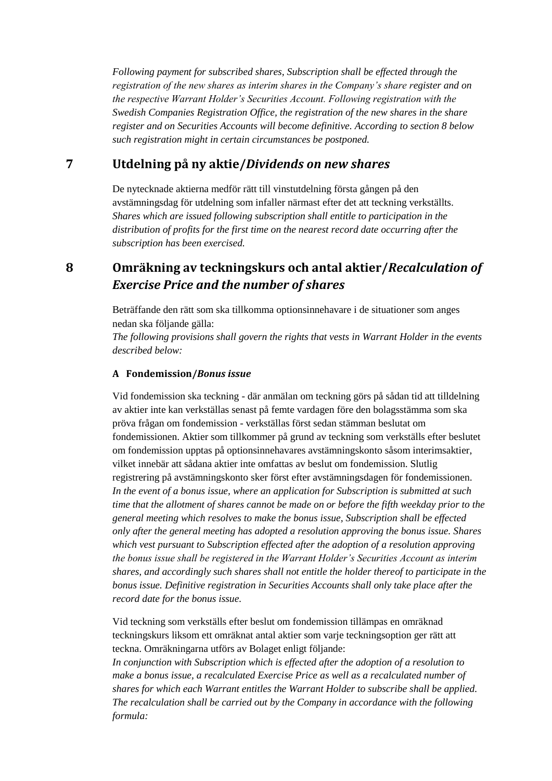*Following payment for subscribed shares, Subscription shall be effected through the registration of the new shares as interim shares in the Company's share register and on the respective Warrant Holder's Securities Account. Following registration with the Swedish Companies Registration Office, the registration of the new shares in the share register and on Securities Accounts will become definitive. According to section 8 below such registration might in certain circumstances be postponed.*

## **7 Utdelning på ny aktie/***Dividends on new shares*

De nytecknade aktierna medför rätt till vinstutdelning första gången på den avstämningsdag för utdelning som infaller närmast efter det att teckning verkställts. *Shares which are issued following subscription shall entitle to participation in the distribution of profits for the first time on the nearest record date occurring after the subscription has been exercised.*

# **8 Omräkning av teckningskurs och antal aktier/***Recalculation of Exercise Price and the number of shares*

Beträffande den rätt som ska tillkomma optionsinnehavare i de situationer som anges nedan ska följande gälla:

*The following provisions shall govern the rights that vests in Warrant Holder in the events described below:*

#### **A Fondemission/***Bonus issue*

Vid fondemission ska teckning - där anmälan om teckning görs på sådan tid att tilldelning av aktier inte kan verkställas senast på femte vardagen före den bolagsstämma som ska pröva frågan om fondemission - verkställas först sedan stämman beslutat om fondemissionen. Aktier som tillkommer på grund av teckning som verkställs efter beslutet om fondemission upptas på optionsinnehavares avstämningskonto såsom interimsaktier, vilket innebär att sådana aktier inte omfattas av beslut om fondemission. Slutlig registrering på avstämningskonto sker först efter avstämningsdagen för fondemissionen. *In the event of a bonus issue, where an application for Subscription is submitted at such time that the allotment of shares cannot be made on or before the fifth weekday prior to the general meeting which resolves to make the bonus issue, Subscription shall be effected only after the general meeting has adopted a resolution approving the bonus issue. Shares which vest pursuant to Subscription effected after the adoption of a resolution approving the bonus issue shall be registered in the Warrant Holder's Securities Account as interim shares, and accordingly such shares shall not entitle the holder thereof to participate in the bonus issue. Definitive registration in Securities Accounts shall only take place after the record date for the bonus issue.*

Vid teckning som verkställs efter beslut om fondemission tillämpas en omräknad teckningskurs liksom ett omräknat antal aktier som varje teckningsoption ger rätt att teckna. Omräkningarna utförs av Bolaget enligt följande:

*In conjunction with Subscription which is effected after the adoption of a resolution to make a bonus issue, a recalculated Exercise Price as well as a recalculated number of shares for which each Warrant entitles the Warrant Holder to subscribe shall be applied. The recalculation shall be carried out by the Company in accordance with the following formula:*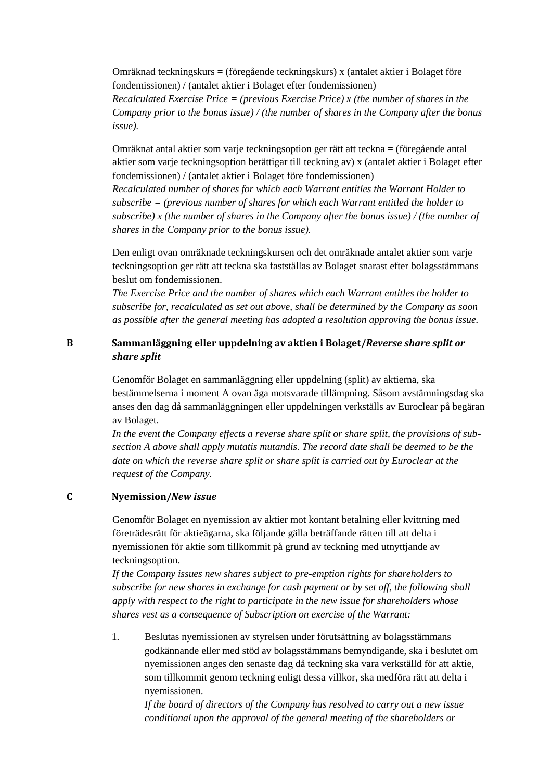Omräknad teckningskurs = (föregående teckningskurs) x (antalet aktier i Bolaget före fondemissionen) / (antalet aktier i Bolaget efter fondemissionen)

*Recalculated Exercise Price = (previous Exercise Price) x (the number of shares in the Company prior to the bonus issue) / (the number of shares in the Company after the bonus issue).*

Omräknat antal aktier som varje teckningsoption ger rätt att teckna = (föregående antal aktier som varje teckningsoption berättigar till teckning av) x (antalet aktier i Bolaget efter fondemissionen) / (antalet aktier i Bolaget före fondemissionen)

*Recalculated number of shares for which each Warrant entitles the Warrant Holder to subscribe = (previous number of shares for which each Warrant entitled the holder to subscribe) x (the number of shares in the Company after the bonus issue) / (the number of shares in the Company prior to the bonus issue).*

Den enligt ovan omräknade teckningskursen och det omräknade antalet aktier som varje teckningsoption ger rätt att teckna ska fastställas av Bolaget snarast efter bolagsstämmans beslut om fondemissionen.

*The Exercise Price and the number of shares which each Warrant entitles the holder to subscribe for, recalculated as set out above, shall be determined by the Company as soon as possible after the general meeting has adopted a resolution approving the bonus issue.*

#### **B Sammanläggning eller uppdelning av aktien i Bolaget/***Reverse share split or share split*

Genomför Bolaget en sammanläggning eller uppdelning (split) av aktierna, ska bestämmelserna i moment A ovan äga motsvarade tillämpning. Såsom avstämningsdag ska anses den dag då sammanläggningen eller uppdelningen verkställs av Euroclear på begäran av Bolaget.

*In the event the Company effects a reverse share split or share split, the provisions of subsection A above shall apply mutatis mutandis. The record date shall be deemed to be the date on which the reverse share split or share split is carried out by Euroclear at the request of the Company.*

### **C Nyemission/***New issue*

Genomför Bolaget en nyemission av aktier mot kontant betalning eller kvittning med företrädesrätt för aktieägarna, ska följande gälla beträffande rätten till att delta i nyemissionen för aktie som tillkommit på grund av teckning med utnyttjande av teckningsoption.

*If the Company issues new shares subject to pre-emption rights for shareholders to subscribe for new shares in exchange for cash payment or by set off, the following shall apply with respect to the right to participate in the new issue for shareholders whose shares vest as a consequence of Subscription on exercise of the Warrant:*

1. Beslutas nyemissionen av styrelsen under förutsättning av bolagsstämmans godkännande eller med stöd av bolagsstämmans bemyndigande, ska i beslutet om nyemissionen anges den senaste dag då teckning ska vara verkställd för att aktie, som tillkommit genom teckning enligt dessa villkor, ska medföra rätt att delta i nyemissionen.

*If the board of directors of the Company has resolved to carry out a new issue conditional upon the approval of the general meeting of the shareholders or*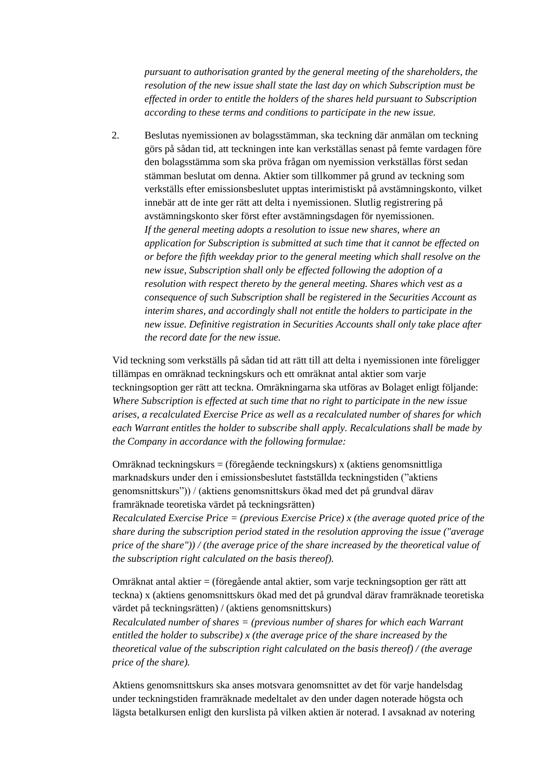*pursuant to authorisation granted by the general meeting of the shareholders, the resolution of the new issue shall state the last day on which Subscription must be effected in order to entitle the holders of the shares held pursuant to Subscription according to these terms and conditions to participate in the new issue.*

2. Beslutas nyemissionen av bolagsstämman, ska teckning där anmälan om teckning görs på sådan tid, att teckningen inte kan verkställas senast på femte vardagen före den bolagsstämma som ska pröva frågan om nyemission verkställas först sedan stämman beslutat om denna. Aktier som tillkommer på grund av teckning som verkställs efter emissionsbeslutet upptas interimistiskt på avstämningskonto, vilket innebär att de inte ger rätt att delta i nyemissionen. Slutlig registrering på avstämningskonto sker först efter avstämningsdagen för nyemissionen. *If the general meeting adopts a resolution to issue new shares, where an application for Subscription is submitted at such time that it cannot be effected on or before the fifth weekday prior to the general meeting which shall resolve on the new issue, Subscription shall only be effected following the adoption of a resolution with respect thereto by the general meeting. Shares which vest as a consequence of such Subscription shall be registered in the Securities Account as interim shares, and accordingly shall not entitle the holders to participate in the new issue. Definitive registration in Securities Accounts shall only take place after the record date for the new issue.*

Vid teckning som verkställs på sådan tid att rätt till att delta i nyemissionen inte föreligger tillämpas en omräknad teckningskurs och ett omräknat antal aktier som varje teckningsoption ger rätt att teckna. Omräkningarna ska utföras av Bolaget enligt följande: *Where Subscription is effected at such time that no right to participate in the new issue arises, a recalculated Exercise Price as well as a recalculated number of shares for which each Warrant entitles the holder to subscribe shall apply. Recalculations shall be made by the Company in accordance with the following formulae:*

Omräknad teckningskurs = (föregående teckningskurs) x (aktiens genomsnittliga marknadskurs under den i emissionsbeslutet fastställda teckningstiden ("aktiens genomsnittskurs")) / (aktiens genomsnittskurs ökad med det på grundval därav framräknade teoretiska värdet på teckningsrätten)

*Recalculated Exercise Price = (previous Exercise Price) x (the average quoted price of the share during the subscription period stated in the resolution approving the issue ("average price of the share")) / (the average price of the share increased by the theoretical value of the subscription right calculated on the basis thereof).*

Omräknat antal aktier = (föregående antal aktier, som varje teckningsoption ger rätt att teckna) x (aktiens genomsnittskurs ökad med det på grundval därav framräknade teoretiska värdet på teckningsrätten) / (aktiens genomsnittskurs)

*Recalculated number of shares = (previous number of shares for which each Warrant entitled the holder to subscribe) x (the average price of the share increased by the theoretical value of the subscription right calculated on the basis thereof) / (the average price of the share).*

Aktiens genomsnittskurs ska anses motsvara genomsnittet av det för varje handelsdag under teckningstiden framräknade medeltalet av den under dagen noterade högsta och lägsta betalkursen enligt den kurslista på vilken aktien är noterad. I avsaknad av notering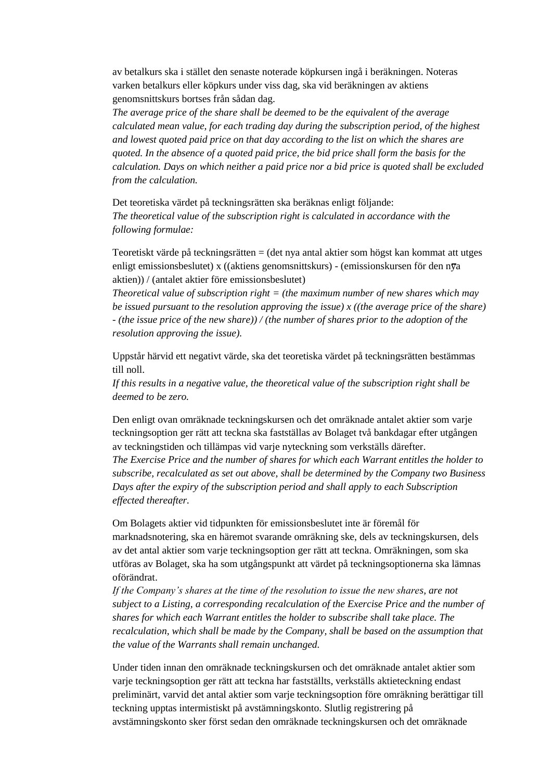av betalkurs ska i stället den senaste noterade köpkursen ingå i beräkningen. Noteras varken betalkurs eller köpkurs under viss dag, ska vid beräkningen av aktiens genomsnittskurs bortses från sådan dag.

*The average price of the share shall be deemed to be the equivalent of the average calculated mean value, for each trading day during the subscription period, of the highest and lowest quoted paid price on that day according to the list on which the shares are quoted. In the absence of a quoted paid price, the bid price shall form the basis for the calculation. Days on which neither a paid price nor a bid price is quoted shall be excluded from the calculation.*

Det teoretiska värdet på teckningsrätten ska beräknas enligt följande: *The theoretical value of the subscription right is calculated in accordance with the following formulae:*

Teoretiskt värde på teckningsrätten = (det nya antal aktier som högst kan kommat att utges enligt emissionsbeslutet) x ((aktiens genomsnittskurs) - (emissionskursen för den n $\bar{v}$ a aktien)) / (antalet aktier före emissionsbeslutet)

*Theoretical value of subscription right = (the maximum number of new shares which may be issued pursuant to the resolution approving the issue) x ((the average price of the share) - (the issue price of the new share)) / (the number of shares prior to the adoption of the resolution approving the issue).*

Uppstår härvid ett negativt värde, ska det teoretiska värdet på teckningsrätten bestämmas till noll.

*If this results in a negative value, the theoretical value of the subscription right shall be deemed to be zero.*

Den enligt ovan omräknade teckningskursen och det omräknade antalet aktier som varje teckningsoption ger rätt att teckna ska fastställas av Bolaget två bankdagar efter utgången av teckningstiden och tillämpas vid varje nyteckning som verkställs därefter.

*The Exercise Price and the number of shares for which each Warrant entitles the holder to subscribe, recalculated as set out above, shall be determined by the Company two Business Days after the expiry of the subscription period and shall apply to each Subscription effected thereafter.*

Om Bolagets aktier vid tidpunkten för emissionsbeslutet inte är föremål för marknadsnotering, ska en häremot svarande omräkning ske, dels av teckningskursen, dels av det antal aktier som varje teckningsoption ger rätt att teckna. Omräkningen, som ska utföras av Bolaget, ska ha som utgångspunkt att värdet på teckningsoptionerna ska lämnas oförändrat.

*If the Company's shares at the time of the resolution to issue the new shares, are not subject to a Listing, a corresponding recalculation of the Exercise Price and the number of shares for which each Warrant entitles the holder to subscribe shall take place. The recalculation, which shall be made by the Company, shall be based on the assumption that the value of the Warrants shall remain unchanged.*

Under tiden innan den omräknade teckningskursen och det omräknade antalet aktier som varje teckningsoption ger rätt att teckna har fastställts, verkställs aktieteckning endast preliminärt, varvid det antal aktier som varje teckningsoption före omräkning berättigar till teckning upptas intermistiskt på avstämningskonto. Slutlig registrering på avstämningskonto sker först sedan den omräknade teckningskursen och det omräknade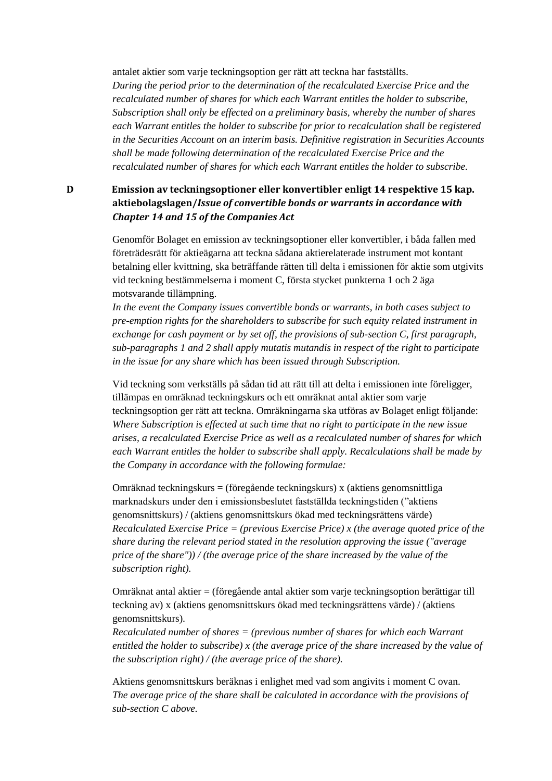antalet aktier som varje teckningsoption ger rätt att teckna har fastställts.

*During the period prior to the determination of the recalculated Exercise Price and the recalculated number of shares for which each Warrant entitles the holder to subscribe, Subscription shall only be effected on a preliminary basis, whereby the number of shares each Warrant entitles the holder to subscribe for prior to recalculation shall be registered in the Securities Account on an interim basis. Definitive registration in Securities Accounts shall be made following determination of the recalculated Exercise Price and the recalculated number of shares for which each Warrant entitles the holder to subscribe.*

**D Emission av teckningsoptioner eller konvertibler enligt 14 respektive 15 kap. aktiebolagslagen/***Issue of convertible bonds or warrants in accordance with Chapter 14 and 15 of the Companies Act*

> Genomför Bolaget en emission av teckningsoptioner eller konvertibler, i båda fallen med företrädesrätt för aktieägarna att teckna sådana aktierelaterade instrument mot kontant betalning eller kvittning, ska beträffande rätten till delta i emissionen för aktie som utgivits vid teckning bestämmelserna i moment C, första stycket punkterna 1 och 2 äga motsvarande tillämpning.

*In the event the Company issues convertible bonds or warrants, in both cases subject to pre-emption rights for the shareholders to subscribe for such equity related instrument in exchange for cash payment or by set off, the provisions of sub-section C, first paragraph, sub-paragraphs 1 and 2 shall apply mutatis mutandis in respect of the right to participate in the issue for any share which has been issued through Subscription.*

Vid teckning som verkställs på sådan tid att rätt till att delta i emissionen inte föreligger, tillämpas en omräknad teckningskurs och ett omräknat antal aktier som varje teckningsoption ger rätt att teckna. Omräkningarna ska utföras av Bolaget enligt följande: *Where Subscription is effected at such time that no right to participate in the new issue arises, a recalculated Exercise Price as well as a recalculated number of shares for which each Warrant entitles the holder to subscribe shall apply. Recalculations shall be made by the Company in accordance with the following formulae:*

Omräknad teckningskurs = (föregående teckningskurs) x (aktiens genomsnittliga marknadskurs under den i emissionsbeslutet fastställda teckningstiden ("aktiens genomsnittskurs) / (aktiens genomsnittskurs ökad med teckningsrättens värde) *Recalculated Exercise Price = (previous Exercise Price) x (the average quoted price of the share during the relevant period stated in the resolution approving the issue ("average price of the share")) / (the average price of the share increased by the value of the subscription right).*

Omräknat antal aktier = (föregående antal aktier som varje teckningsoption berättigar till teckning av) x (aktiens genomsnittskurs ökad med teckningsrättens värde) / (aktiens genomsnittskurs).

*Recalculated number of shares = (previous number of shares for which each Warrant entitled the holder to subscribe) x (the average price of the share increased by the value of the subscription right) / (the average price of the share).*

Aktiens genomsnittskurs beräknas i enlighet med vad som angivits i moment C ovan. *The average price of the share shall be calculated in accordance with the provisions of sub-section C above.*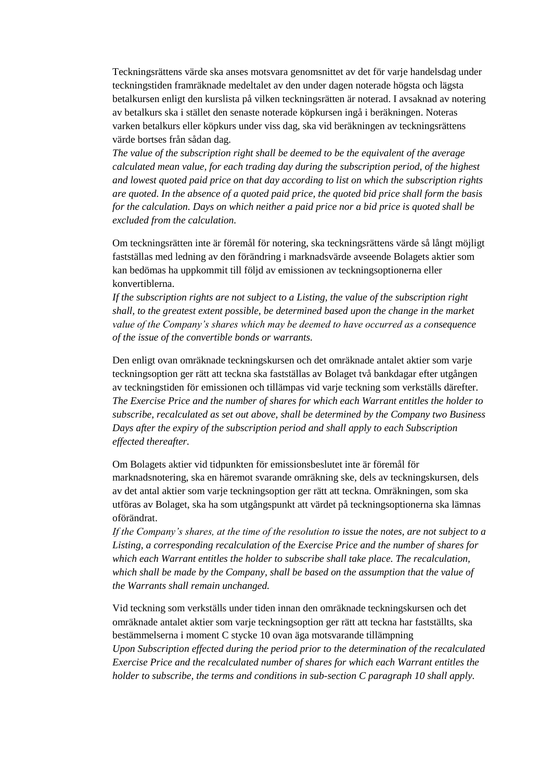Teckningsrättens värde ska anses motsvara genomsnittet av det för varje handelsdag under teckningstiden framräknade medeltalet av den under dagen noterade högsta och lägsta betalkursen enligt den kurslista på vilken teckningsrätten är noterad. I avsaknad av notering av betalkurs ska i stället den senaste noterade köpkursen ingå i beräkningen. Noteras varken betalkurs eller köpkurs under viss dag, ska vid beräkningen av teckningsrättens värde bortses från sådan dag.

*The value of the subscription right shall be deemed to be the equivalent of the average calculated mean value, for each trading day during the subscription period, of the highest and lowest quoted paid price on that day according to list on which the subscription rights are quoted. In the absence of a quoted paid price, the quoted bid price shall form the basis for the calculation. Days on which neither a paid price nor a bid price is quoted shall be excluded from the calculation.*

Om teckningsrätten inte är föremål för notering, ska teckningsrättens värde så långt möjligt fastställas med ledning av den förändring i marknadsvärde avseende Bolagets aktier som kan bedömas ha uppkommit till följd av emissionen av teckningsoptionerna eller konvertiblerna.

*If the subscription rights are not subject to a Listing, the value of the subscription right shall, to the greatest extent possible, be determined based upon the change in the market value of the Company's shares which may be deemed to have occurred as a consequence of the issue of the convertible bonds or warrants.*

Den enligt ovan omräknade teckningskursen och det omräknade antalet aktier som varje teckningsoption ger rätt att teckna ska fastställas av Bolaget två bankdagar efter utgången av teckningstiden för emissionen och tillämpas vid varje teckning som verkställs därefter. *The Exercise Price and the number of shares for which each Warrant entitles the holder to subscribe, recalculated as set out above, shall be determined by the Company two Business Days after the expiry of the subscription period and shall apply to each Subscription effected thereafter.*

Om Bolagets aktier vid tidpunkten för emissionsbeslutet inte är föremål för marknadsnotering, ska en häremot svarande omräkning ske, dels av teckningskursen, dels av det antal aktier som varje teckningsoption ger rätt att teckna. Omräkningen, som ska utföras av Bolaget, ska ha som utgångspunkt att värdet på teckningsoptionerna ska lämnas oförändrat.

*If the Company's shares, at the time of the resolution to issue the notes, are not subject to a Listing, a corresponding recalculation of the Exercise Price and the number of shares for which each Warrant entitles the holder to subscribe shall take place. The recalculation, which shall be made by the Company, shall be based on the assumption that the value of the Warrants shall remain unchanged.*

Vid teckning som verkställs under tiden innan den omräknade teckningskursen och det omräknade antalet aktier som varje teckningsoption ger rätt att teckna har fastställts, ska bestämmelserna i moment C stycke 10 ovan äga motsvarande tillämpning *Upon Subscription effected during the period prior to the determination of the recalculated Exercise Price and the recalculated number of shares for which each Warrant entitles the holder to subscribe, the terms and conditions in sub-section C paragraph 10 shall apply.*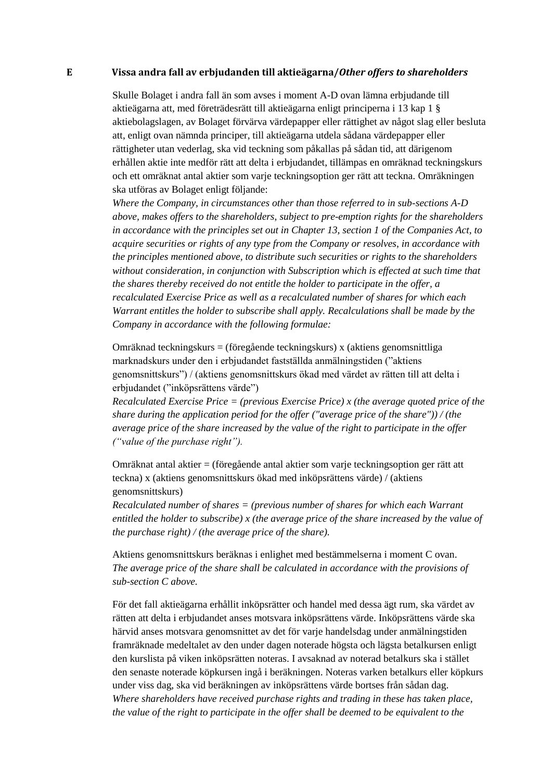#### **E Vissa andra fall av erbjudanden till aktieägarna/***Other offers to shareholders*

Skulle Bolaget i andra fall än som avses i moment A-D ovan lämna erbjudande till aktieägarna att, med företrädesrätt till aktieägarna enligt principerna i 13 kap 1 § aktiebolagslagen, av Bolaget förvärva värdepapper eller rättighet av något slag eller besluta att, enligt ovan nämnda principer, till aktieägarna utdela sådana värdepapper eller rättigheter utan vederlag, ska vid teckning som påkallas på sådan tid, att därigenom erhållen aktie inte medför rätt att delta i erbjudandet, tillämpas en omräknad teckningskurs och ett omräknat antal aktier som varje teckningsoption ger rätt att teckna. Omräkningen ska utföras av Bolaget enligt följande:

*Where the Company, in circumstances other than those referred to in sub-sections A-D above, makes offers to the shareholders, subject to pre-emption rights for the shareholders in accordance with the principles set out in Chapter 13, section 1 of the Companies Act, to acquire securities or rights of any type from the Company or resolves, in accordance with the principles mentioned above, to distribute such securities or rights to the shareholders without consideration, in conjunction with Subscription which is effected at such time that the shares thereby received do not entitle the holder to participate in the offer, a recalculated Exercise Price as well as a recalculated number of shares for which each Warrant entitles the holder to subscribe shall apply. Recalculations shall be made by the Company in accordance with the following formulae:*

Omräknad teckningskurs = (föregående teckningskurs) x (aktiens genomsnittliga marknadskurs under den i erbjudandet fastställda anmälningstiden ("aktiens genomsnittskurs") / (aktiens genomsnittskurs ökad med värdet av rätten till att delta i erbjudandet ("inköpsrättens värde")

*Recalculated Exercise Price = (previous Exercise Price) x (the average quoted price of the share during the application period for the offer ("average price of the share")) / (the average price of the share increased by the value of the right to participate in the offer ("value of the purchase right").*

Omräknat antal aktier = (föregående antal aktier som varje teckningsoption ger rätt att teckna) x (aktiens genomsnittskurs ökad med inköpsrättens värde) / (aktiens genomsnittskurs)

*Recalculated number of shares = (previous number of shares for which each Warrant entitled the holder to subscribe) x (the average price of the share increased by the value of the purchase right) / (the average price of the share).*

Aktiens genomsnittskurs beräknas i enlighet med bestämmelserna i moment C ovan. *The average price of the share shall be calculated in accordance with the provisions of sub-section C above.*

För det fall aktieägarna erhållit inköpsrätter och handel med dessa ägt rum, ska värdet av rätten att delta i erbjudandet anses motsvara inköpsrättens värde. Inköpsrättens värde ska härvid anses motsvara genomsnittet av det för varje handelsdag under anmälningstiden framräknade medeltalet av den under dagen noterade högsta och lägsta betalkursen enligt den kurslista på viken inköpsrätten noteras. I avsaknad av noterad betalkurs ska i stället den senaste noterade köpkursen ingå i beräkningen. Noteras varken betalkurs eller köpkurs under viss dag, ska vid beräkningen av inköpsrättens värde bortses från sådan dag. *Where shareholders have received purchase rights and trading in these has taken place, the value of the right to participate in the offer shall be deemed to be equivalent to the*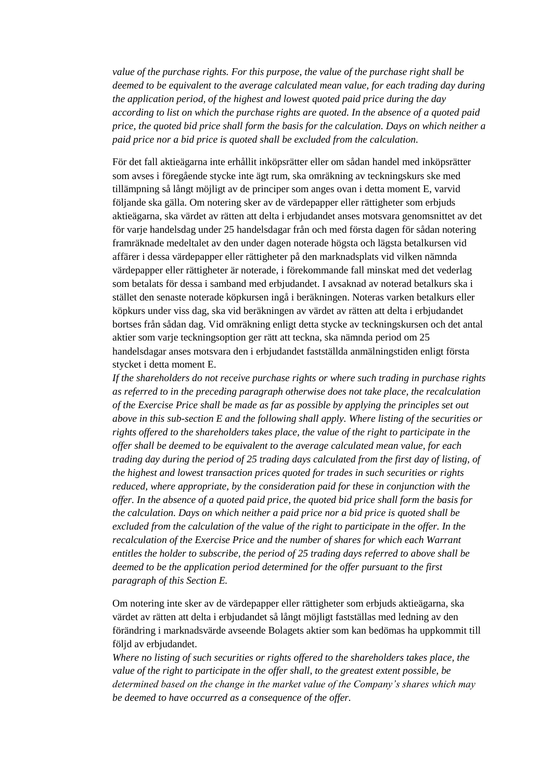*value of the purchase rights. For this purpose, the value of the purchase right shall be deemed to be equivalent to the average calculated mean value, for each trading day during the application period, of the highest and lowest quoted paid price during the day according to list on which the purchase rights are quoted. In the absence of a quoted paid price, the quoted bid price shall form the basis for the calculation. Days on which neither a paid price nor a bid price is quoted shall be excluded from the calculation.*

För det fall aktieägarna inte erhållit inköpsrätter eller om sådan handel med inköpsrätter som avses i föregående stycke inte ägt rum, ska omräkning av teckningskurs ske med tillämpning så långt möjligt av de principer som anges ovan i detta moment E, varvid följande ska gälla. Om notering sker av de värdepapper eller rättigheter som erbjuds aktieägarna, ska värdet av rätten att delta i erbjudandet anses motsvara genomsnittet av det för varje handelsdag under 25 handelsdagar från och med första dagen för sådan notering framräknade medeltalet av den under dagen noterade högsta och lägsta betalkursen vid affärer i dessa värdepapper eller rättigheter på den marknadsplats vid vilken nämnda värdepapper eller rättigheter är noterade, i förekommande fall minskat med det vederlag som betalats för dessa i samband med erbjudandet. I avsaknad av noterad betalkurs ska i stället den senaste noterade köpkursen ingå i beräkningen. Noteras varken betalkurs eller köpkurs under viss dag, ska vid beräkningen av värdet av rätten att delta i erbjudandet bortses från sådan dag. Vid omräkning enligt detta stycke av teckningskursen och det antal aktier som varje teckningsoption ger rätt att teckna, ska nämnda period om 25 handelsdagar anses motsvara den i erbjudandet fastställda anmälningstiden enligt första stycket i detta moment E.

*If the shareholders do not receive purchase rights or where such trading in purchase rights as referred to in the preceding paragraph otherwise does not take place, the recalculation of the Exercise Price shall be made as far as possible by applying the principles set out above in this sub-section E and the following shall apply. Where listing of the securities or rights offered to the shareholders takes place, the value of the right to participate in the offer shall be deemed to be equivalent to the average calculated mean value, for each trading day during the period of 25 trading days calculated from the first day of listing, of the highest and lowest transaction prices quoted for trades in such securities or rights reduced, where appropriate, by the consideration paid for these in conjunction with the offer. In the absence of a quoted paid price, the quoted bid price shall form the basis for the calculation. Days on which neither a paid price nor a bid price is quoted shall be excluded from the calculation of the value of the right to participate in the offer. In the recalculation of the Exercise Price and the number of shares for which each Warrant entitles the holder to subscribe, the period of 25 trading days referred to above shall be deemed to be the application period determined for the offer pursuant to the first paragraph of this Section E.*

Om notering inte sker av de värdepapper eller rättigheter som erbjuds aktieägarna, ska värdet av rätten att delta i erbjudandet så långt möjligt fastställas med ledning av den förändring i marknadsvärde avseende Bolagets aktier som kan bedömas ha uppkommit till följd av erbjudandet.

*Where no listing of such securities or rights offered to the shareholders takes place, the value of the right to participate in the offer shall, to the greatest extent possible, be determined based on the change in the market value of the Company's shares which may be deemed to have occurred as a consequence of the offer.*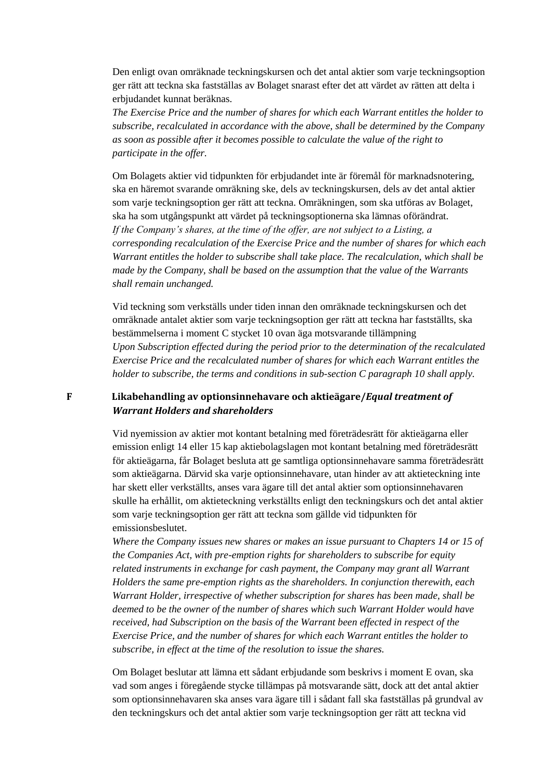Den enligt ovan omräknade teckningskursen och det antal aktier som varje teckningsoption ger rätt att teckna ska fastställas av Bolaget snarast efter det att värdet av rätten att delta i erbjudandet kunnat beräknas.

*The Exercise Price and the number of shares for which each Warrant entitles the holder to subscribe, recalculated in accordance with the above, shall be determined by the Company as soon as possible after it becomes possible to calculate the value of the right to participate in the offer.*

Om Bolagets aktier vid tidpunkten för erbjudandet inte är föremål för marknadsnotering, ska en häremot svarande omräkning ske, dels av teckningskursen, dels av det antal aktier som varje teckningsoption ger rätt att teckna. Omräkningen, som ska utföras av Bolaget, ska ha som utgångspunkt att värdet på teckningsoptionerna ska lämnas oförändrat. *If the Company's shares, at the time of the offer, are not subject to a Listing, a corresponding recalculation of the Exercise Price and the number of shares for which each Warrant entitles the holder to subscribe shall take place. The recalculation, which shall be made by the Company, shall be based on the assumption that the value of the Warrants shall remain unchanged.*

Vid teckning som verkställs under tiden innan den omräknade teckningskursen och det omräknade antalet aktier som varje teckningsoption ger rätt att teckna har fastställts, ska bestämmelserna i moment C stycket 10 ovan äga motsvarande tillämpning *Upon Subscription effected during the period prior to the determination of the recalculated Exercise Price and the recalculated number of shares for which each Warrant entitles the holder to subscribe, the terms and conditions in sub-section C paragraph 10 shall apply.* 

#### **F Likabehandling av optionsinnehavare och aktieägare/***Equal treatment of Warrant Holders and shareholders*

Vid nyemission av aktier mot kontant betalning med företrädesrätt för aktieägarna eller emission enligt 14 eller 15 kap aktiebolagslagen mot kontant betalning med företrädesrätt för aktieägarna, får Bolaget besluta att ge samtliga optionsinnehavare samma företrädesrätt som aktieägarna. Därvid ska varje optionsinnehavare, utan hinder av att aktieteckning inte har skett eller verkställts, anses vara ägare till det antal aktier som optionsinnehavaren skulle ha erhållit, om aktieteckning verkställts enligt den teckningskurs och det antal aktier som varje teckningsoption ger rätt att teckna som gällde vid tidpunkten för emissionsbeslutet.

*Where the Company issues new shares or makes an issue pursuant to Chapters 14 or 15 of the Companies Act, with pre-emption rights for shareholders to subscribe for equity related instruments in exchange for cash payment, the Company may grant all Warrant Holders the same pre-emption rights as the shareholders. In conjunction therewith, each Warrant Holder, irrespective of whether subscription for shares has been made, shall be deemed to be the owner of the number of shares which such Warrant Holder would have received, had Subscription on the basis of the Warrant been effected in respect of the Exercise Price, and the number of shares for which each Warrant entitles the holder to subscribe, in effect at the time of the resolution to issue the shares.*

Om Bolaget beslutar att lämna ett sådant erbjudande som beskrivs i moment E ovan, ska vad som anges i föregående stycke tillämpas på motsvarande sätt, dock att det antal aktier som optionsinnehavaren ska anses vara ägare till i sådant fall ska fastställas på grundval av den teckningskurs och det antal aktier som varje teckningsoption ger rätt att teckna vid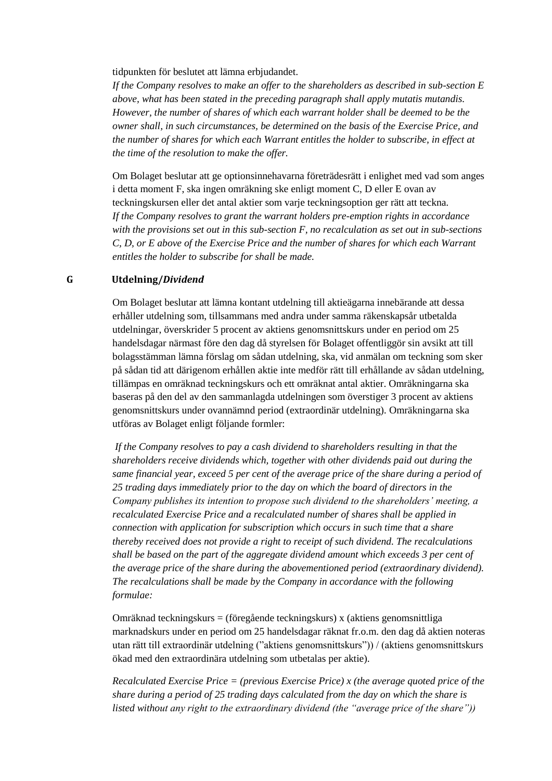tidpunkten för beslutet att lämna erbjudandet.

*If the Company resolves to make an offer to the shareholders as described in sub-section E above, what has been stated in the preceding paragraph shall apply mutatis mutandis. However, the number of shares of which each warrant holder shall be deemed to be the owner shall, in such circumstances, be determined on the basis of the Exercise Price, and the number of shares for which each Warrant entitles the holder to subscribe, in effect at the time of the resolution to make the offer.*

Om Bolaget beslutar att ge optionsinnehavarna företrädesrätt i enlighet med vad som anges i detta moment F, ska ingen omräkning ske enligt moment C, D eller E ovan av teckningskursen eller det antal aktier som varje teckningsoption ger rätt att teckna. *If the Company resolves to grant the warrant holders pre-emption rights in accordance with the provisions set out in this sub-section F, no recalculation as set out in sub-sections C, D, or E above of the Exercise Price and the number of shares for which each Warrant entitles the holder to subscribe for shall be made.*

#### **G Utdelning/***Dividend*

Om Bolaget beslutar att lämna kontant utdelning till aktieägarna innebärande att dessa erhåller utdelning som, tillsammans med andra under samma räkenskapsår utbetalda utdelningar, överskrider 5 procent av aktiens genomsnittskurs under en period om 25 handelsdagar närmast före den dag då styrelsen för Bolaget offentliggör sin avsikt att till bolagsstämman lämna förslag om sådan utdelning, ska, vid anmälan om teckning som sker på sådan tid att därigenom erhållen aktie inte medför rätt till erhållande av sådan utdelning, tillämpas en omräknad teckningskurs och ett omräknat antal aktier. Omräkningarna ska baseras på den del av den sammanlagda utdelningen som överstiger 3 procent av aktiens genomsnittskurs under ovannämnd period (extraordinär utdelning). Omräkningarna ska utföras av Bolaget enligt följande formler:

*If the Company resolves to pay a cash dividend to shareholders resulting in that the shareholders receive dividends which, together with other dividends paid out during the same financial year, exceed 5 per cent of the average price of the share during a period of 25 trading days immediately prior to the day on which the board of directors in the Company publishes its intention to propose such dividend to the shareholders' meeting, a recalculated Exercise Price and a recalculated number of shares shall be applied in connection with application for subscription which occurs in such time that a share thereby received does not provide a right to receipt of such dividend. The recalculations shall be based on the part of the aggregate dividend amount which exceeds 3 per cent of the average price of the share during the abovementioned period (extraordinary dividend). The recalculations shall be made by the Company in accordance with the following formulae:*

Omräknad teckningskurs = (föregående teckningskurs) x (aktiens genomsnittliga marknadskurs under en period om 25 handelsdagar räknat fr.o.m. den dag då aktien noteras utan rätt till extraordinär utdelning ("aktiens genomsnittskurs")) / (aktiens genomsnittskurs ökad med den extraordinära utdelning som utbetalas per aktie).

*Recalculated Exercise Price = (previous Exercise Price) x (the average quoted price of the share during a period of 25 trading days calculated from the day on which the share is listed without any right to the extraordinary dividend (the "average price of the share"))*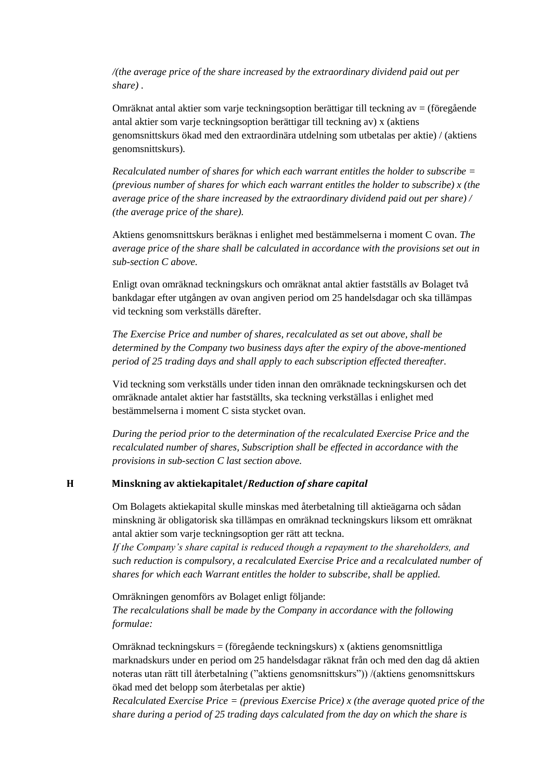*/(the average price of the share increased by the extraordinary dividend paid out per share) .*

Omräknat antal aktier som varje teckningsoption berättigar till teckning av  $=$  (föregående antal aktier som varje teckningsoption berättigar till teckning av) x (aktiens genomsnittskurs ökad med den extraordinära utdelning som utbetalas per aktie) / (aktiens genomsnittskurs).

*Recalculated number of shares for which each warrant entitles the holder to subscribe = (previous number of shares for which each warrant entitles the holder to subscribe) x (the average price of the share increased by the extraordinary dividend paid out per share) / (the average price of the share).*

Aktiens genomsnittskurs beräknas i enlighet med bestämmelserna i moment C ovan. *The average price of the share shall be calculated in accordance with the provisions set out in sub-section C above.* 

Enligt ovan omräknad teckningskurs och omräknat antal aktier fastställs av Bolaget två bankdagar efter utgången av ovan angiven period om 25 handelsdagar och ska tillämpas vid teckning som verkställs därefter.

*The Exercise Price and number of shares, recalculated as set out above, shall be determined by the Company two business days after the expiry of the above-mentioned period of 25 trading days and shall apply to each subscription effected thereafter.* 

Vid teckning som verkställs under tiden innan den omräknade teckningskursen och det omräknade antalet aktier har fastställts, ska teckning verkställas i enlighet med bestämmelserna i moment C sista stycket ovan.

*During the period prior to the determination of the recalculated Exercise Price and the recalculated number of shares, Subscription shall be effected in accordance with the provisions in sub-section C last section above.* 

#### **H Minskning av aktiekapitalet/***Reduction of share capital*

Om Bolagets aktiekapital skulle minskas med återbetalning till aktieägarna och sådan minskning är obligatorisk ska tillämpas en omräknad teckningskurs liksom ett omräknat antal aktier som varje teckningsoption ger rätt att teckna.

*If the Company's share capital is reduced though a repayment to the shareholders, and such reduction is compulsory, a recalculated Exercise Price and a recalculated number of shares for which each Warrant entitles the holder to subscribe, shall be applied.*

Omräkningen genomförs av Bolaget enligt följande: *The recalculations shall be made by the Company in accordance with the following formulae:*

Omräknad teckningskurs = (föregående teckningskurs) x (aktiens genomsnittliga marknadskurs under en period om 25 handelsdagar räknat från och med den dag då aktien noteras utan rätt till återbetalning ("aktiens genomsnittskurs")) /(aktiens genomsnittskurs ökad med det belopp som återbetalas per aktie)

*Recalculated Exercise Price = (previous Exercise Price) x (the average quoted price of the share during a period of 25 trading days calculated from the day on which the share is*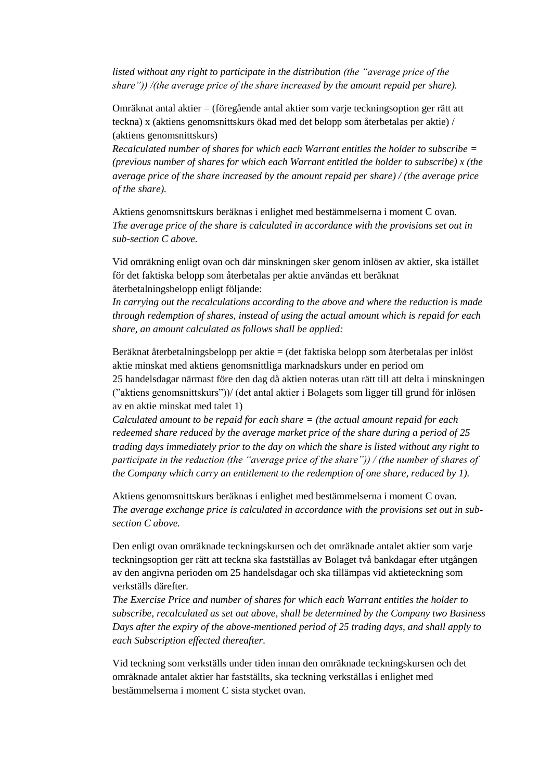*listed without any right to participate in the distribution (the "average price of the share")) /(the average price of the share increased by the amount repaid per share).*

Omräknat antal aktier = (föregående antal aktier som varje teckningsoption ger rätt att teckna) x (aktiens genomsnittskurs ökad med det belopp som återbetalas per aktie) / (aktiens genomsnittskurs)

*Recalculated number of shares for which each Warrant entitles the holder to subscribe = (previous number of shares for which each Warrant entitled the holder to subscribe) x (the average price of the share increased by the amount repaid per share) / (the average price of the share).*

Aktiens genomsnittskurs beräknas i enlighet med bestämmelserna i moment C ovan. *The average price of the share is calculated in accordance with the provisions set out in sub-section C above.*

Vid omräkning enligt ovan och där minskningen sker genom inlösen av aktier, ska istället för det faktiska belopp som återbetalas per aktie användas ett beräknat återbetalningsbelopp enligt följande:

*In carrying out the recalculations according to the above and where the reduction is made through redemption of shares, instead of using the actual amount which is repaid for each share, an amount calculated as follows shall be applied:*

Beräknat återbetalningsbelopp per aktie = (det faktiska belopp som återbetalas per inlöst aktie minskat med aktiens genomsnittliga marknadskurs under en period om 25 handelsdagar närmast före den dag då aktien noteras utan rätt till att delta i minskningen ("aktiens genomsnittskurs"))/ (det antal aktier i Bolagets som ligger till grund för inlösen av en aktie minskat med talet 1)

*Calculated amount to be repaid for each share = (the actual amount repaid for each redeemed share reduced by the average market price of the share during a period of 25 trading days immediately prior to the day on which the share is listed without any right to participate in the reduction (the "average price of the share")) / (the number of shares of the Company which carry an entitlement to the redemption of one share, reduced by 1).*

Aktiens genomsnittskurs beräknas i enlighet med bestämmelserna i moment C ovan. *The average exchange price is calculated in accordance with the provisions set out in subsection C above.*

Den enligt ovan omräknade teckningskursen och det omräknade antalet aktier som varje teckningsoption ger rätt att teckna ska fastställas av Bolaget två bankdagar efter utgången av den angivna perioden om 25 handelsdagar och ska tillämpas vid aktieteckning som verkställs därefter.

*The Exercise Price and number of shares for which each Warrant entitles the holder to subscribe, recalculated as set out above, shall be determined by the Company two Business Days after the expiry of the above-mentioned period of 25 trading days, and shall apply to each Subscription effected thereafter.* 

Vid teckning som verkställs under tiden innan den omräknade teckningskursen och det omräknade antalet aktier har fastställts, ska teckning verkställas i enlighet med bestämmelserna i moment C sista stycket ovan.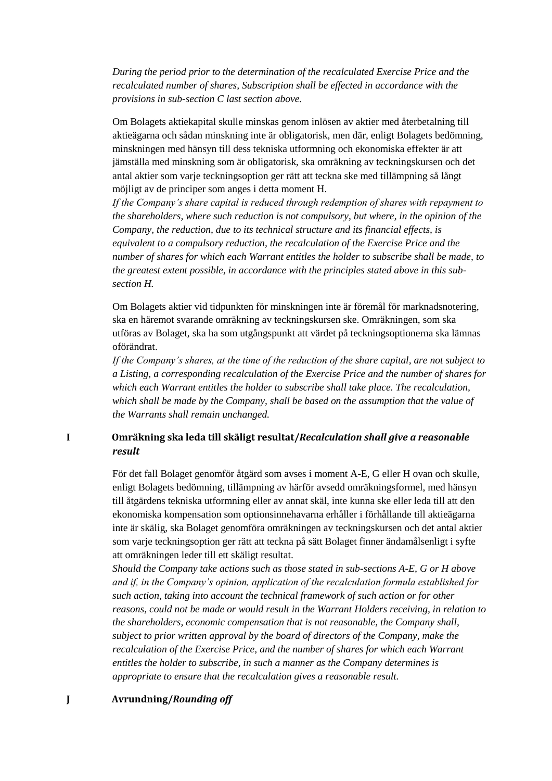*During the period prior to the determination of the recalculated Exercise Price and the recalculated number of shares, Subscription shall be effected in accordance with the provisions in sub-section C last section above.* 

Om Bolagets aktiekapital skulle minskas genom inlösen av aktier med återbetalning till aktieägarna och sådan minskning inte är obligatorisk, men där, enligt Bolagets bedömning, minskningen med hänsyn till dess tekniska utformning och ekonomiska effekter är att jämställa med minskning som är obligatorisk, ska omräkning av teckningskursen och det antal aktier som varje teckningsoption ger rätt att teckna ske med tillämpning så långt möjligt av de principer som anges i detta moment H.

*If the Company's share capital is reduced through redemption of shares with repayment to the shareholders, where such reduction is not compulsory, but where, in the opinion of the Company, the reduction, due to its technical structure and its financial effects, is equivalent to a compulsory reduction, the recalculation of the Exercise Price and the number of shares for which each Warrant entitles the holder to subscribe shall be made, to the greatest extent possible, in accordance with the principles stated above in this subsection H.*

Om Bolagets aktier vid tidpunkten för minskningen inte är föremål för marknadsnotering, ska en häremot svarande omräkning av teckningskursen ske. Omräkningen, som ska utföras av Bolaget, ska ha som utgångspunkt att värdet på teckningsoptionerna ska lämnas oförändrat.

*If the Company's shares, at the time of the reduction of the share capital, are not subject to a Listing, a corresponding recalculation of the Exercise Price and the number of shares for which each Warrant entitles the holder to subscribe shall take place. The recalculation, which shall be made by the Company, shall be based on the assumption that the value of the Warrants shall remain unchanged.*

### **I Omräkning ska leda till skäligt resultat/***Recalculation shall give a reasonable result*

För det fall Bolaget genomför åtgärd som avses i moment A-E, G eller H ovan och skulle, enligt Bolagets bedömning, tillämpning av härför avsedd omräkningsformel, med hänsyn till åtgärdens tekniska utformning eller av annat skäl, inte kunna ske eller leda till att den ekonomiska kompensation som optionsinnehavarna erhåller i förhållande till aktieägarna inte är skälig, ska Bolaget genomföra omräkningen av teckningskursen och det antal aktier som varje teckningsoption ger rätt att teckna på sätt Bolaget finner ändamålsenligt i syfte att omräkningen leder till ett skäligt resultat.

*Should the Company take actions such as those stated in sub-sections A-E, G or H above and if, in the Company's opinion, application of the recalculation formula established for such action, taking into account the technical framework of such action or for other reasons, could not be made or would result in the Warrant Holders receiving, in relation to the shareholders, economic compensation that is not reasonable, the Company shall, subject to prior written approval by the board of directors of the Company, make the recalculation of the Exercise Price, and the number of shares for which each Warrant entitles the holder to subscribe, in such a manner as the Company determines is appropriate to ensure that the recalculation gives a reasonable result.*

#### **J Avrundning/***Rounding off*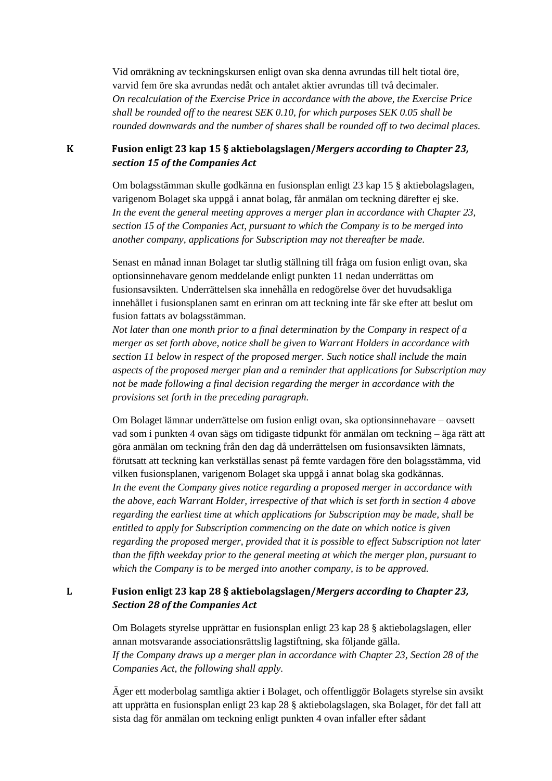Vid omräkning av teckningskursen enligt ovan ska denna avrundas till helt tiotal öre, varvid fem öre ska avrundas nedåt och antalet aktier avrundas till två decimaler. *On recalculation of the Exercise Price in accordance with the above, the Exercise Price shall be rounded off to the nearest SEK 0.10, for which purposes SEK 0.05 shall be rounded downwards and the number of shares shall be rounded off to two decimal places.*

**K Fusion enligt 23 kap 15 § aktiebolagslagen/***Mergers according to Chapter 23, section 15 of the Companies Act*

> Om bolagsstämman skulle godkänna en fusionsplan enligt 23 kap 15 § aktiebolagslagen, varigenom Bolaget ska uppgå i annat bolag, får anmälan om teckning därefter ej ske. *In the event the general meeting approves a merger plan in accordance with Chapter 23, section 15 of the Companies Act, pursuant to which the Company is to be merged into another company, applications for Subscription may not thereafter be made.*

> Senast en månad innan Bolaget tar slutlig ställning till fråga om fusion enligt ovan, ska optionsinnehavare genom meddelande enligt punkten 11 nedan underrättas om fusionsavsikten. Underrättelsen ska innehålla en redogörelse över det huvudsakliga innehållet i fusionsplanen samt en erinran om att teckning inte får ske efter att beslut om fusion fattats av bolagsstämman.

*Not later than one month prior to a final determination by the Company in respect of a merger as set forth above, notice shall be given to Warrant Holders in accordance with section 11 below in respect of the proposed merger. Such notice shall include the main aspects of the proposed merger plan and a reminder that applications for Subscription may not be made following a final decision regarding the merger in accordance with the provisions set forth in the preceding paragraph.*

Om Bolaget lämnar underrättelse om fusion enligt ovan, ska optionsinnehavare – oavsett vad som i punkten 4 ovan sägs om tidigaste tidpunkt för anmälan om teckning – äga rätt att göra anmälan om teckning från den dag då underrättelsen om fusionsavsikten lämnats, förutsatt att teckning kan verkställas senast på femte vardagen före den bolagsstämma, vid vilken fusionsplanen, varigenom Bolaget ska uppgå i annat bolag ska godkännas. *In the event the Company gives notice regarding a proposed merger in accordance with the above, each Warrant Holder, irrespective of that which is set forth in section 4 above regarding the earliest time at which applications for Subscription may be made, shall be entitled to apply for Subscription commencing on the date on which notice is given regarding the proposed merger, provided that it is possible to effect Subscription not later than the fifth weekday prior to the general meeting at which the merger plan, pursuant to which the Company is to be merged into another company, is to be approved.*

#### **L Fusion enligt 23 kap 28 § aktiebolagslagen/***Mergers according to Chapter 23, Section 28 of the Companies Act*

Om Bolagets styrelse upprättar en fusionsplan enligt 23 kap 28 § aktiebolagslagen, eller annan motsvarande associationsrättslig lagstiftning, ska följande gälla. *If the Company draws up a merger plan in accordance with Chapter 23, Section 28 of the Companies Act, the following shall apply.*

Äger ett moderbolag samtliga aktier i Bolaget, och offentliggör Bolagets styrelse sin avsikt att upprätta en fusionsplan enligt 23 kap 28 § aktiebolagslagen, ska Bolaget, för det fall att sista dag för anmälan om teckning enligt punkten 4 ovan infaller efter sådant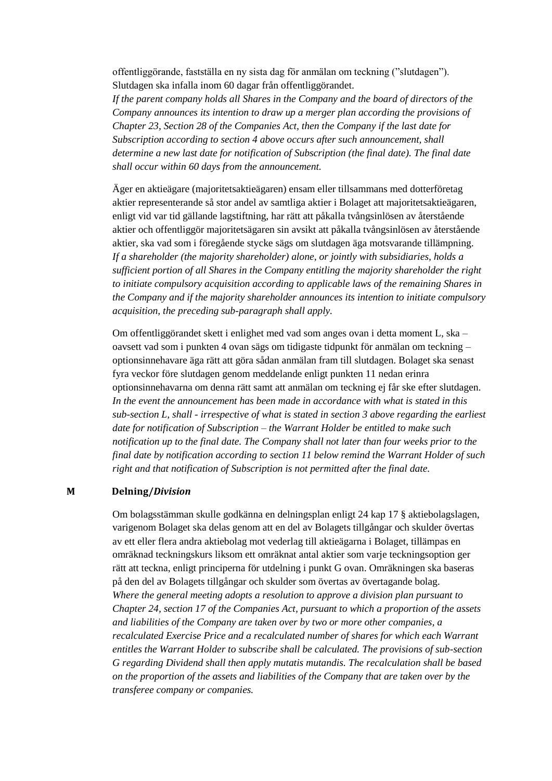offentliggörande, fastställa en ny sista dag för anmälan om teckning ("slutdagen"). Slutdagen ska infalla inom 60 dagar från offentliggörandet.

*If the parent company holds all Shares in the Company and the board of directors of the Company announces its intention to draw up a merger plan according the provisions of Chapter 23, Section 28 of the Companies Act, then the Company if the last date for Subscription according to section 4 above occurs after such announcement, shall determine a new last date for notification of Subscription (the final date). The final date shall occur within 60 days from the announcement.*

Äger en aktieägare (majoritetsaktieägaren) ensam eller tillsammans med dotterföretag aktier representerande så stor andel av samtliga aktier i Bolaget att majoritetsaktieägaren, enligt vid var tid gällande lagstiftning, har rätt att påkalla tvångsinlösen av återstående aktier och offentliggör majoritetsägaren sin avsikt att påkalla tvångsinlösen av återstående aktier, ska vad som i föregående stycke sägs om slutdagen äga motsvarande tillämpning. *If a shareholder (the majority shareholder) alone, or jointly with subsidiaries, holds a sufficient portion of all Shares in the Company entitling the majority shareholder the right to initiate compulsory acquisition according to applicable laws of the remaining Shares in the Company and if the majority shareholder announces its intention to initiate compulsory acquisition, the preceding sub-paragraph shall apply.* 

Om offentliggörandet skett i enlighet med vad som anges ovan i detta moment L, ska – oavsett vad som i punkten 4 ovan sägs om tidigaste tidpunkt för anmälan om teckning – optionsinnehavare äga rätt att göra sådan anmälan fram till slutdagen. Bolaget ska senast fyra veckor före slutdagen genom meddelande enligt punkten 11 nedan erinra optionsinnehavarna om denna rätt samt att anmälan om teckning ej får ske efter slutdagen. *In the event the announcement has been made in accordance with what is stated in this sub-section L, shall - irrespective of what is stated in section 3 above regarding the earliest date for notification of Subscription – the Warrant Holder be entitled to make such notification up to the final date. The Company shall not later than four weeks prior to the final date by notification according to section 11 below remind the Warrant Holder of such right and that notification of Subscription is not permitted after the final date.*

#### **M Delning/***Division*

Om bolagsstämman skulle godkänna en delningsplan enligt 24 kap 17 § aktiebolagslagen, varigenom Bolaget ska delas genom att en del av Bolagets tillgångar och skulder övertas av ett eller flera andra aktiebolag mot vederlag till aktieägarna i Bolaget, tillämpas en omräknad teckningskurs liksom ett omräknat antal aktier som varje teckningsoption ger rätt att teckna, enligt principerna för utdelning i punkt G ovan. Omräkningen ska baseras på den del av Bolagets tillgångar och skulder som övertas av övertagande bolag. *Where the general meeting adopts a resolution to approve a division plan pursuant to Chapter 24, section 17 of the Companies Act, pursuant to which a proportion of the assets and liabilities of the Company are taken over by two or more other companies, a recalculated Exercise Price and a recalculated number of shares for which each Warrant entitles the Warrant Holder to subscribe shall be calculated. The provisions of sub-section G regarding Dividend shall then apply mutatis mutandis. The recalculation shall be based on the proportion of the assets and liabilities of the Company that are taken over by the transferee company or companies.*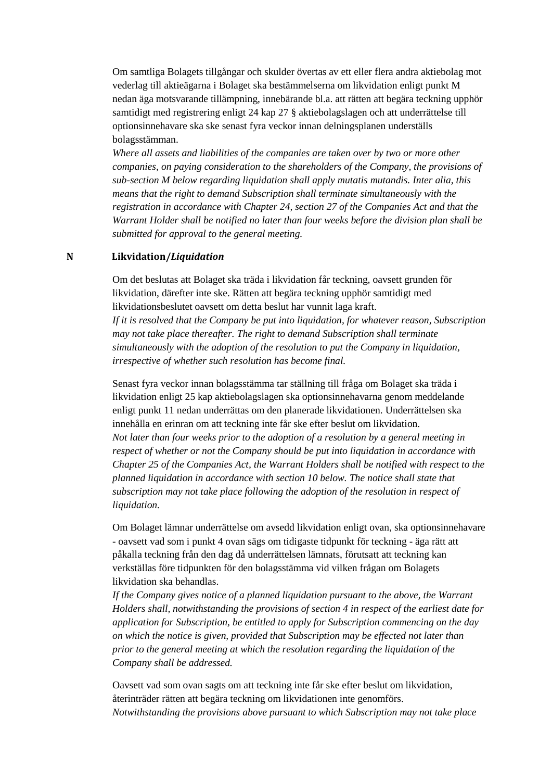Om samtliga Bolagets tillgångar och skulder övertas av ett eller flera andra aktiebolag mot vederlag till aktieägarna i Bolaget ska bestämmelserna om likvidation enligt punkt M nedan äga motsvarande tillämpning, innebärande bl.a. att rätten att begära teckning upphör samtidigt med registrering enligt 24 kap 27 § aktiebolagslagen och att underrättelse till optionsinnehavare ska ske senast fyra veckor innan delningsplanen underställs bolagsstämman.

*Where all assets and liabilities of the companies are taken over by two or more other companies, on paying consideration to the shareholders of the Company, the provisions of sub-section M below regarding liquidation shall apply mutatis mutandis. Inter alia, this means that the right to demand Subscription shall terminate simultaneously with the registration in accordance with Chapter 24, section 27 of the Companies Act and that the Warrant Holder shall be notified no later than four weeks before the division plan shall be submitted for approval to the general meeting.*

#### **N Likvidation/***Liquidation*

Om det beslutas att Bolaget ska träda i likvidation får teckning, oavsett grunden för likvidation, därefter inte ske. Rätten att begära teckning upphör samtidigt med likvidationsbeslutet oavsett om detta beslut har vunnit laga kraft. *If it is resolved that the Company be put into liquidation, for whatever reason, Subscription may not take place thereafter. The right to demand Subscription shall terminate simultaneously with the adoption of the resolution to put the Company in liquidation, irrespective of whether such resolution has become final.*

Senast fyra veckor innan bolagsstämma tar ställning till fråga om Bolaget ska träda i likvidation enligt 25 kap aktiebolagslagen ska optionsinnehavarna genom meddelande enligt punkt 11 nedan underrättas om den planerade likvidationen. Underrättelsen ska innehålla en erinran om att teckning inte får ske efter beslut om likvidation. *Not later than four weeks prior to the adoption of a resolution by a general meeting in respect of whether or not the Company should be put into liquidation in accordance with Chapter 25 of the Companies Act, the Warrant Holders shall be notified with respect to the planned liquidation in accordance with section 10 below. The notice shall state that subscription may not take place following the adoption of the resolution in respect of liquidation.*

Om Bolaget lämnar underrättelse om avsedd likvidation enligt ovan, ska optionsinnehavare - oavsett vad som i punkt 4 ovan sägs om tidigaste tidpunkt för teckning - äga rätt att påkalla teckning från den dag då underrättelsen lämnats, förutsatt att teckning kan verkställas före tidpunkten för den bolagsstämma vid vilken frågan om Bolagets likvidation ska behandlas.

*If the Company gives notice of a planned liquidation pursuant to the above, the Warrant Holders shall, notwithstanding the provisions of section 4 in respect of the earliest date for application for Subscription, be entitled to apply for Subscription commencing on the day on which the notice is given, provided that Subscription may be effected not later than prior to the general meeting at which the resolution regarding the liquidation of the Company shall be addressed.*

Oavsett vad som ovan sagts om att teckning inte får ske efter beslut om likvidation, återinträder rätten att begära teckning om likvidationen inte genomförs. *Notwithstanding the provisions above pursuant to which Subscription may not take place*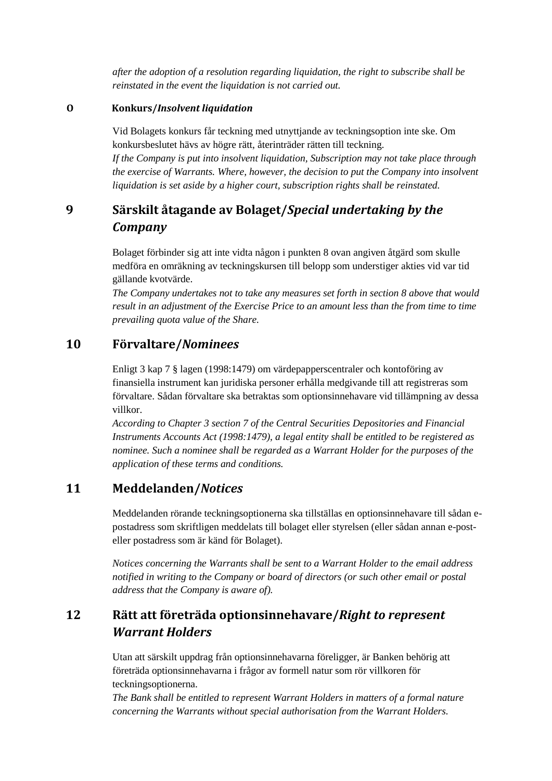*after the adoption of a resolution regarding liquidation, the right to subscribe shall be reinstated in the event the liquidation is not carried out.*

#### **O Konkurs/***Insolvent liquidation*

Vid Bolagets konkurs får teckning med utnyttjande av teckningsoption inte ske. Om konkursbeslutet hävs av högre rätt, återinträder rätten till teckning. *If the Company is put into insolvent liquidation, Subscription may not take place through the exercise of Warrants. Where, however, the decision to put the Company into insolvent liquidation is set aside by a higher court, subscription rights shall be reinstated.*

# **9 Särskilt åtagande av Bolaget/***Special undertaking by the Company*

Bolaget förbinder sig att inte vidta någon i punkten 8 ovan angiven åtgärd som skulle medföra en omräkning av teckningskursen till belopp som understiger akties vid var tid gällande kvotvärde.

*The Company undertakes not to take any measures set forth in section 8 above that would result in an adjustment of the Exercise Price to an amount less than the from time to time prevailing quota value of the Share.*

## **10 Förvaltare/***Nominees*

Enligt 3 kap 7 § lagen (1998:1479) om värdepapperscentraler och kontoföring av finansiella instrument kan juridiska personer erhålla medgivande till att registreras som förvaltare. Sådan förvaltare ska betraktas som optionsinnehavare vid tillämpning av dessa villkor.

*According to Chapter 3 section 7 of the Central Securities Depositories and Financial Instruments Accounts Act (1998:1479), a legal entity shall be entitled to be registered as nominee. Such a nominee shall be regarded as a Warrant Holder for the purposes of the application of these terms and conditions.*

## **11 Meddelanden/***Notices*

Meddelanden rörande teckningsoptionerna ska tillställas en optionsinnehavare till sådan epostadress som skriftligen meddelats till bolaget eller styrelsen (eller sådan annan e-posteller postadress som är känd för Bolaget).

*Notices concerning the Warrants shall be sent to a Warrant Holder to the email address notified in writing to the Company or board of directors (or such other email or postal address that the Company is aware of).* 

# **12 Rätt att företräda optionsinnehavare/***Right to represent Warrant Holders*

Utan att särskilt uppdrag från optionsinnehavarna föreligger, är Banken behörig att företräda optionsinnehavarna i frågor av formell natur som rör villkoren för teckningsoptionerna.

*The Bank shall be entitled to represent Warrant Holders in matters of a formal nature concerning the Warrants without special authorisation from the Warrant Holders.*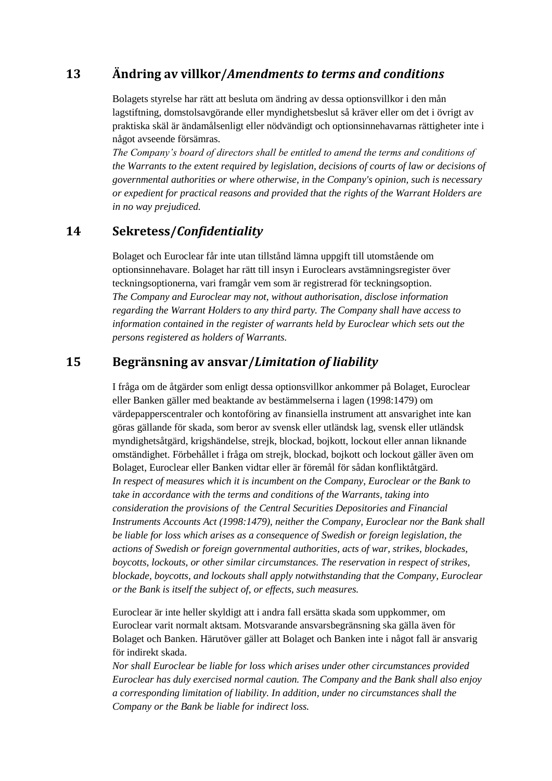# **13 Ändring av villkor/***Amendments to terms and conditions*

Bolagets styrelse har rätt att besluta om ändring av dessa optionsvillkor i den mån lagstiftning, domstolsavgörande eller myndighetsbeslut så kräver eller om det i övrigt av praktiska skäl är ändamålsenligt eller nödvändigt och optionsinnehavarnas rättigheter inte i något avseende försämras.

*The Company's board of directors shall be entitled to amend the terms and conditions of the Warrants to the extent required by legislation, decisions of courts of law or decisions of governmental authorities or where otherwise, in the Company's opinion, such is necessary or expedient for practical reasons and provided that the rights of the Warrant Holders are in no way prejudiced.*

## **14 Sekretess/***Confidentiality*

Bolaget och Euroclear får inte utan tillstånd lämna uppgift till utomstående om optionsinnehavare. Bolaget har rätt till insyn i Euroclears avstämningsregister över teckningsoptionerna, vari framgår vem som är registrerad för teckningsoption. *The Company and Euroclear may not, without authorisation, disclose information regarding the Warrant Holders to any third party. The Company shall have access to information contained in the register of warrants held by Euroclear which sets out the persons registered as holders of Warrants.*

## **15 Begränsning av ansvar/***Limitation of liability*

I fråga om de åtgärder som enligt dessa optionsvillkor ankommer på Bolaget, Euroclear eller Banken gäller med beaktande av bestämmelserna i lagen (1998:1479) om värdepapperscentraler och kontoföring av finansiella instrument att ansvarighet inte kan göras gällande för skada, som beror av svensk eller utländsk lag, svensk eller utländsk myndighetsåtgärd, krigshändelse, strejk, blockad, bojkott, lockout eller annan liknande omständighet. Förbehållet i fråga om strejk, blockad, bojkott och lockout gäller även om Bolaget, Euroclear eller Banken vidtar eller är föremål för sådan konfliktåtgärd. *In respect of measures which it is incumbent on the Company, Euroclear or the Bank to take in accordance with the terms and conditions of the Warrants, taking into consideration the provisions of the Central Securities Depositories and Financial Instruments Accounts Act (1998:1479), neither the Company, Euroclear nor the Bank shall be liable for loss which arises as a consequence of Swedish or foreign legislation, the actions of Swedish or foreign governmental authorities, acts of war, strikes, blockades, boycotts, lockouts, or other similar circumstances. The reservation in respect of strikes, blockade, boycotts, and lockouts shall apply notwithstanding that the Company, Euroclear or the Bank is itself the subject of, or effects, such measures.*

Euroclear är inte heller skyldigt att i andra fall ersätta skada som uppkommer, om Euroclear varit normalt aktsam. Motsvarande ansvarsbegränsning ska gälla även för Bolaget och Banken. Härutöver gäller att Bolaget och Banken inte i något fall är ansvarig för indirekt skada.

*Nor shall Euroclear be liable for loss which arises under other circumstances provided Euroclear has duly exercised normal caution. The Company and the Bank shall also enjoy a corresponding limitation of liability. In addition, under no circumstances shall the Company or the Bank be liable for indirect loss.*